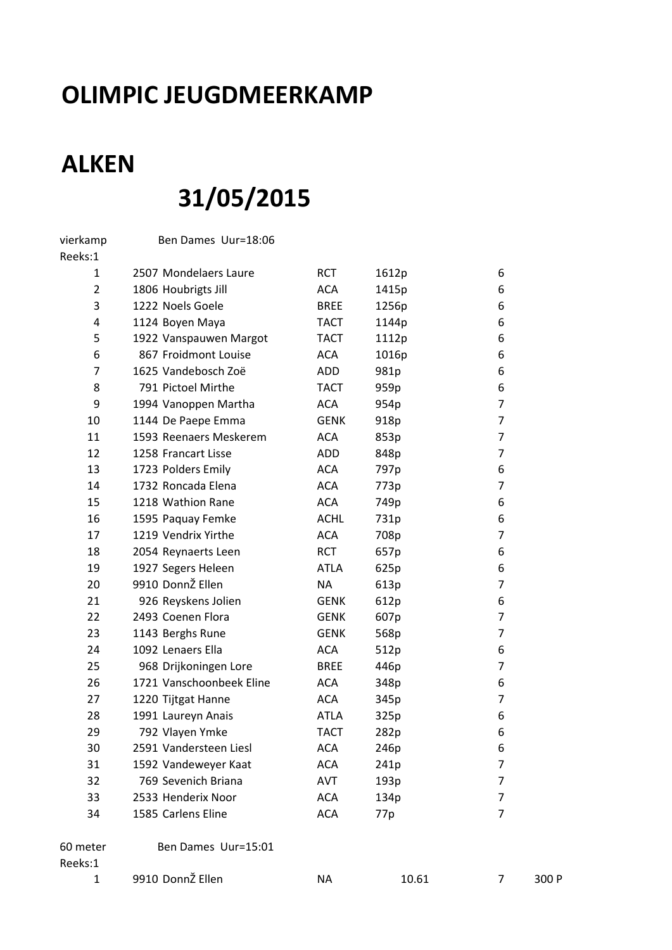## **OLIMPIC JEUGDMEERKAMP**

## **ALKEN**

## **31/05/2015**

| vierkamp            | Ben Dames Uur=18:06      |             |       |                |       |
|---------------------|--------------------------|-------------|-------|----------------|-------|
| Reeks:1             |                          |             |       |                |       |
| 1                   | 2507 Mondelaers Laure    | <b>RCT</b>  | 1612p | 6              |       |
| $\overline{2}$      | 1806 Houbrigts Jill      | <b>ACA</b>  | 1415p | 6              |       |
| 3                   | 1222 Noels Goele         | <b>BREE</b> | 1256p | 6              |       |
| 4                   | 1124 Boyen Maya          | <b>TACT</b> | 1144p | 6              |       |
| 5                   | 1922 Vanspauwen Margot   | <b>TACT</b> | 1112p | 6              |       |
| 6                   | 867 Froidmont Louise     | <b>ACA</b>  | 1016p | 6              |       |
| 7                   | 1625 Vandebosch Zoë      | <b>ADD</b>  | 981p  | 6              |       |
| 8                   | 791 Pictoel Mirthe       | <b>TACT</b> | 959p  | 6              |       |
| 9                   | 1994 Vanoppen Martha     | <b>ACA</b>  | 954p  | $\overline{7}$ |       |
| 10                  | 1144 De Paepe Emma       | <b>GENK</b> | 918p  | $\overline{7}$ |       |
| 11                  | 1593 Reenaers Meskerem   | <b>ACA</b>  | 853p  | $\overline{7}$ |       |
| 12                  | 1258 Francart Lisse      | <b>ADD</b>  | 848p  | $\overline{7}$ |       |
| 13                  | 1723 Polders Emily       | <b>ACA</b>  | 797p  | 6              |       |
| 14                  | 1732 Roncada Elena       | <b>ACA</b>  | 773p  | $\overline{7}$ |       |
| 15                  | 1218 Wathion Rane        | <b>ACA</b>  | 749p  | 6              |       |
| 16                  | 1595 Paquay Femke        | <b>ACHL</b> | 731p  | 6              |       |
| 17                  | 1219 Vendrix Yirthe      | <b>ACA</b>  | 708p  | $\overline{7}$ |       |
| 18                  | 2054 Reynaerts Leen      | <b>RCT</b>  | 657p  | 6              |       |
| 19                  | 1927 Segers Heleen       | <b>ATLA</b> | 625p  | 6              |       |
| 20                  | 9910 DonnŽ Ellen         | <b>NA</b>   | 613p  | 7              |       |
| 21                  | 926 Reyskens Jolien      | <b>GENK</b> | 612p  | 6              |       |
| 22                  | 2493 Coenen Flora        | <b>GENK</b> | 607p  | 7              |       |
| 23                  | 1143 Berghs Rune         | <b>GENK</b> | 568p  | $\overline{7}$ |       |
| 24                  | 1092 Lenaers Ella        | <b>ACA</b>  | 512p  | 6              |       |
| 25                  | 968 Drijkoningen Lore    | <b>BREE</b> | 446p  | 7              |       |
| 26                  | 1721 Vanschoonbeek Eline | <b>ACA</b>  | 348p  | 6              |       |
| 27                  | 1220 Tijtgat Hanne       | <b>ACA</b>  | 345p  | $\overline{7}$ |       |
| 28                  | 1991 Laureyn Anais       | <b>ATLA</b> | 325p  | 6              |       |
| 29                  | 792 Vlayen Ymke          | <b>TACT</b> | 282p  | 6              |       |
| 30                  | 2591 Vandersteen Liesl   | <b>ACA</b>  | 246p  | 6              |       |
| 31                  | 1592 Vandeweyer Kaat     | ACA         | 241p  | $\overline{7}$ |       |
| 32                  | 769 Sevenich Briana      | <b>AVT</b>  | 193p  | $\overline{7}$ |       |
| 33                  | 2533 Henderix Noor       | <b>ACA</b>  | 134p  | $\overline{7}$ |       |
| 34                  | 1585 Carlens Eline       | <b>ACA</b>  | 77p   | $\overline{7}$ |       |
| 60 meter<br>Reeks:1 | Ben Dames Uur=15:01      |             |       |                |       |
| $\mathbf{1}$        | 9910 DonnŽ Ellen         | <b>NA</b>   | 10.61 | 7              | 300 P |
|                     |                          |             |       |                |       |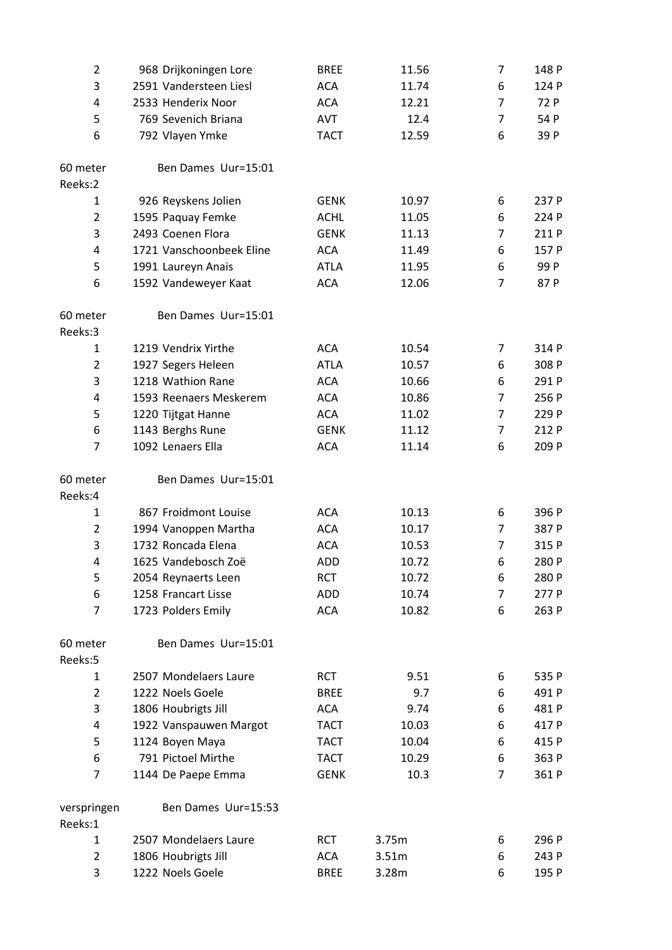| $\overline{2}$         | 968 Drijkoningen Lore    | <b>BREE</b> | 11.56 | 7              | 148 P |
|------------------------|--------------------------|-------------|-------|----------------|-------|
| 3                      | 2591 Vandersteen Liesl   | <b>ACA</b>  | 11.74 | 6              | 124 P |
| 4                      | 2533 Henderix Noor       | <b>ACA</b>  | 12.21 | 7              | 72 P  |
| 5                      | 769 Sevenich Briana      | AVT         | 12.4  | $\overline{7}$ | 54 P  |
| 6                      | 792 Vlayen Ymke          | <b>TACT</b> | 12.59 | 6              | 39 P  |
| 60 meter               | Ben Dames Uur=15:01      |             |       |                |       |
| Reeks:2                |                          |             |       |                |       |
| 1                      | 926 Reyskens Jolien      | <b>GENK</b> | 10.97 | 6              | 237 P |
| $\overline{2}$         | 1595 Paquay Femke        | <b>ACHL</b> | 11.05 | 6              | 224 P |
| 3                      | 2493 Coenen Flora        | <b>GENK</b> | 11.13 | 7              | 211 P |
| 4                      | 1721 Vanschoonbeek Eline | <b>ACA</b>  | 11.49 | 6              | 157 P |
| 5                      | 1991 Laureyn Anais       | <b>ATLA</b> | 11.95 | 6              | 99 P  |
| 6                      | 1592 Vandeweyer Kaat     | <b>ACA</b>  | 12.06 | $\overline{7}$ | 87 P  |
| 60 meter<br>Reeks:3    | Ben Dames Uur=15:01      |             |       |                |       |
| 1                      | 1219 Vendrix Yirthe      | <b>ACA</b>  | 10.54 | 7              | 314 P |
| $\overline{2}$         | 1927 Segers Heleen       | <b>ATLA</b> | 10.57 | 6              | 308 P |
| 3                      | 1218 Wathion Rane        | <b>ACA</b>  | 10.66 | 6              | 291 P |
| 4                      | 1593 Reenaers Meskerem   | <b>ACA</b>  | 10.86 | 7              | 256 P |
| 5                      | 1220 Tijtgat Hanne       | <b>ACA</b>  | 11.02 | $\overline{7}$ | 229 P |
| 6                      | 1143 Berghs Rune         | <b>GENK</b> | 11.12 | $\overline{7}$ | 212 P |
| 7                      | 1092 Lenaers Ella        | <b>ACA</b>  | 11.14 | 6              | 209 P |
| 60 meter<br>Reeks:4    | Ben Dames Uur=15:01      |             |       |                |       |
| 1                      | 867 Froidmont Louise     | <b>ACA</b>  | 10.13 | 6              | 396 P |
| $\overline{2}$         | 1994 Vanoppen Martha     | <b>ACA</b>  | 10.17 | 7              | 387 P |
| 3                      | 1732 Roncada Elena       | <b>ACA</b>  | 10.53 | 7              | 315 P |
| 4                      | 1625 Vandebosch Zoë      | <b>ADD</b>  | 10.72 | 6              | 280 P |
| 5                      | 2054 Reynaerts Leen      | <b>RCT</b>  | 10.72 | 6              | 280 P |
| 6                      | 1258 Francart Lisse      | <b>ADD</b>  | 10.74 | 7              | 277 P |
| 7                      | 1723 Polders Emily       | <b>ACA</b>  | 10.82 | 6              | 263 P |
| 60 meter<br>Reeks:5    | Ben Dames Uur=15:01      |             |       |                |       |
| 1                      | 2507 Mondelaers Laure    | <b>RCT</b>  | 9.51  | 6              | 535 P |
| $\overline{2}$         | 1222 Noels Goele         | <b>BREE</b> | 9.7   | 6              | 491 P |
| 3                      | 1806 Houbrigts Jill      | <b>ACA</b>  | 9.74  | 6              | 481 P |
| 4                      | 1922 Vanspauwen Margot   | <b>TACT</b> | 10.03 | 6              | 417 P |
| 5                      | 1124 Boyen Maya          | <b>TACT</b> | 10.04 | 6              | 415 P |
| 6                      | 791 Pictoel Mirthe       | <b>TACT</b> | 10.29 | 6              | 363 P |
| 7                      | 1144 De Paepe Emma       | <b>GENK</b> | 10.3  | 7              | 361 P |
| verspringen<br>Reeks:1 | Ben Dames Uur=15:53      |             |       |                |       |
| 1                      | 2507 Mondelaers Laure    | <b>RCT</b>  | 3.75m | 6              | 296 P |
| 2                      | 1806 Houbrigts Jill      | <b>ACA</b>  | 3.51m | 6              | 243 P |
| 3                      | 1222 Noels Goele         | <b>BREE</b> | 3.28m | 6              | 195 P |
|                        |                          |             |       |                |       |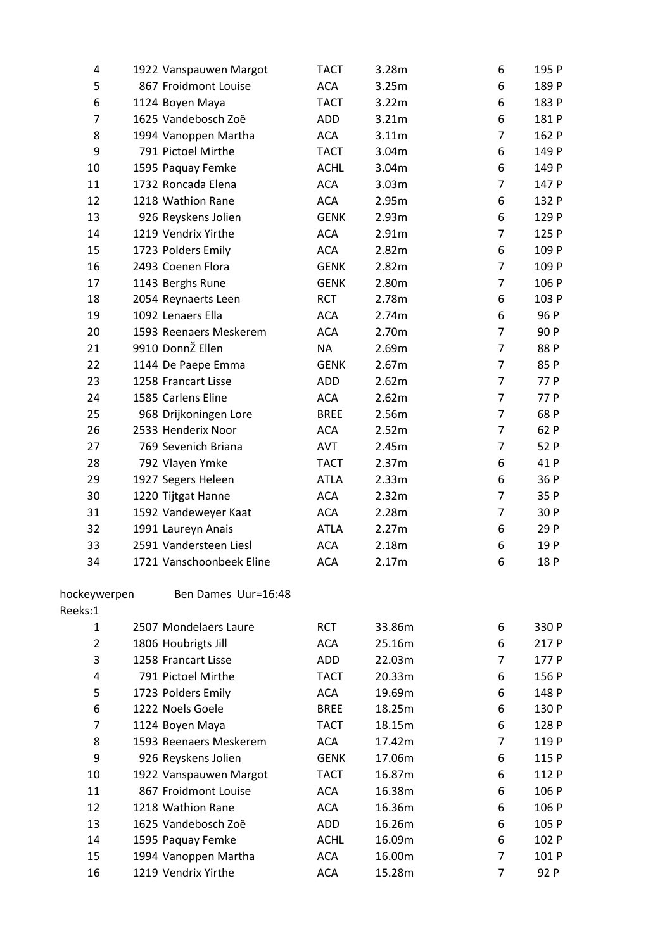| 4              | 1922 Vanspauwen Margot   | TACT        | 3.28m  | 6              | 195 P |
|----------------|--------------------------|-------------|--------|----------------|-------|
| 5              | 867 Froidmont Louise     | ACA         | 3.25m  | 6              | 189 P |
| 6              | 1124 Boyen Maya          | <b>TACT</b> | 3.22m  | 6              | 183 P |
| $\overline{7}$ | 1625 Vandebosch Zoë      | ADD         | 3.21m  | 6              | 181 P |
| 8              | 1994 Vanoppen Martha     | <b>ACA</b>  | 3.11m  | $\overline{7}$ | 162 P |
| 9              | 791 Pictoel Mirthe       | <b>TACT</b> | 3.04m  | 6              | 149 P |
| 10             | 1595 Paquay Femke        | <b>ACHL</b> | 3.04m  | 6              | 149 P |
| 11             | 1732 Roncada Elena       | <b>ACA</b>  | 3.03m  | $\overline{7}$ | 147 P |
| 12             | 1218 Wathion Rane        | <b>ACA</b>  | 2.95m  | 6              | 132 P |
| 13             | 926 Reyskens Jolien      | <b>GENK</b> | 2.93m  | 6              | 129 P |
| 14             | 1219 Vendrix Yirthe      | <b>ACA</b>  | 2.91m  | $\overline{7}$ | 125 P |
| 15             | 1723 Polders Emily       | <b>ACA</b>  | 2.82m  | 6              | 109 P |
| 16             | 2493 Coenen Flora        | <b>GENK</b> | 2.82m  | $\overline{7}$ | 109 P |
| 17             | 1143 Berghs Rune         | <b>GENK</b> | 2.80m  | $\overline{7}$ | 106 P |
| 18             | 2054 Reynaerts Leen      | <b>RCT</b>  | 2.78m  | 6              | 103 P |
| 19             | 1092 Lenaers Ella        | <b>ACA</b>  | 2.74m  | 6              | 96 P  |
| 20             | 1593 Reenaers Meskerem   | <b>ACA</b>  | 2.70m  | $\overline{7}$ | 90 P  |
| 21             | 9910 DonnŽ Ellen         | <b>NA</b>   | 2.69m  | $\overline{7}$ | 88 P  |
| 22             | 1144 De Paepe Emma       | <b>GENK</b> | 2.67m  | $\overline{7}$ | 85 P  |
| 23             | 1258 Francart Lisse      | ADD         | 2.62m  | $\overline{7}$ | 77 P  |
| 24             | 1585 Carlens Eline       | <b>ACA</b>  | 2.62m  | $\overline{7}$ | 77 P  |
| 25             | 968 Drijkoningen Lore    | <b>BREE</b> | 2.56m  | $\overline{7}$ | 68 P  |
| 26             | 2533 Henderix Noor       | <b>ACA</b>  | 2.52m  | $\overline{7}$ | 62 P  |
| 27             | 769 Sevenich Briana      | <b>AVT</b>  | 2.45m  | $\overline{7}$ | 52 P  |
| 28             | 792 Vlayen Ymke          | <b>TACT</b> | 2.37m  | 6              | 41 P  |
| 29             | 1927 Segers Heleen       | <b>ATLA</b> | 2.33m  | 6              | 36 P  |
| 30             | 1220 Tijtgat Hanne       | <b>ACA</b>  | 2.32m  | $\overline{7}$ | 35 P  |
| 31             | 1592 Vandeweyer Kaat     | <b>ACA</b>  | 2.28m  | $\overline{7}$ | 30 P  |
| 32             | 1991 Laureyn Anais       | <b>ATLA</b> | 2.27m  | 6              | 29 P  |
| 33             | 2591 Vandersteen Liesl   | <b>ACA</b>  | 2.18m  | 6              | 19 P  |
| 34             | 1721 Vanschoonbeek Eline | ACA         | 2.17m  | 6              | 18 P  |
| hockeywerpen   | Ben Dames Uur=16:48      |             |        |                |       |
| Reeks:1        |                          |             |        |                |       |
| 1              | 2507 Mondelaers Laure    | <b>RCT</b>  | 33.86m | 6              | 330 P |
| $\overline{2}$ | 1806 Houbrigts Jill      | <b>ACA</b>  | 25.16m | 6              | 217 P |
| 3              | 1258 Francart Lisse      | ADD         | 22.03m | $\overline{7}$ | 177 P |
| 4              | 791 Pictoel Mirthe       | <b>TACT</b> | 20.33m | 6              | 156 P |
| 5              | 1723 Polders Emily       | <b>ACA</b>  | 19.69m | 6              | 148 P |
| 6              | 1222 Noels Goele         | <b>BREE</b> | 18.25m | 6              | 130 P |
| $\overline{7}$ | 1124 Boyen Maya          | <b>TACT</b> | 18.15m | 6              | 128 P |
| 8              | 1593 Reenaers Meskerem   | <b>ACA</b>  | 17.42m | 7              | 119 P |
| 9              | 926 Reyskens Jolien      | <b>GENK</b> | 17.06m | 6              | 115 P |
| 10             | 1922 Vanspauwen Margot   | <b>TACT</b> | 16.87m | 6              | 112 P |
| 11             | 867 Froidmont Louise     | <b>ACA</b>  | 16.38m | 6              | 106 P |
| 12             | 1218 Wathion Rane        | <b>ACA</b>  | 16.36m | 6              | 106 P |
| 13             | 1625 Vandebosch Zoë      | ADD         | 16.26m | 6              | 105 P |
| 14             | 1595 Paquay Femke        | <b>ACHL</b> | 16.09m | 6              | 102 P |
| 15             | 1994 Vanoppen Martha     | <b>ACA</b>  | 16.00m | 7              | 101 P |
| 16             | 1219 Vendrix Yirthe      | <b>ACA</b>  | 15.28m | $\overline{7}$ | 92 P  |
|                |                          |             |        |                |       |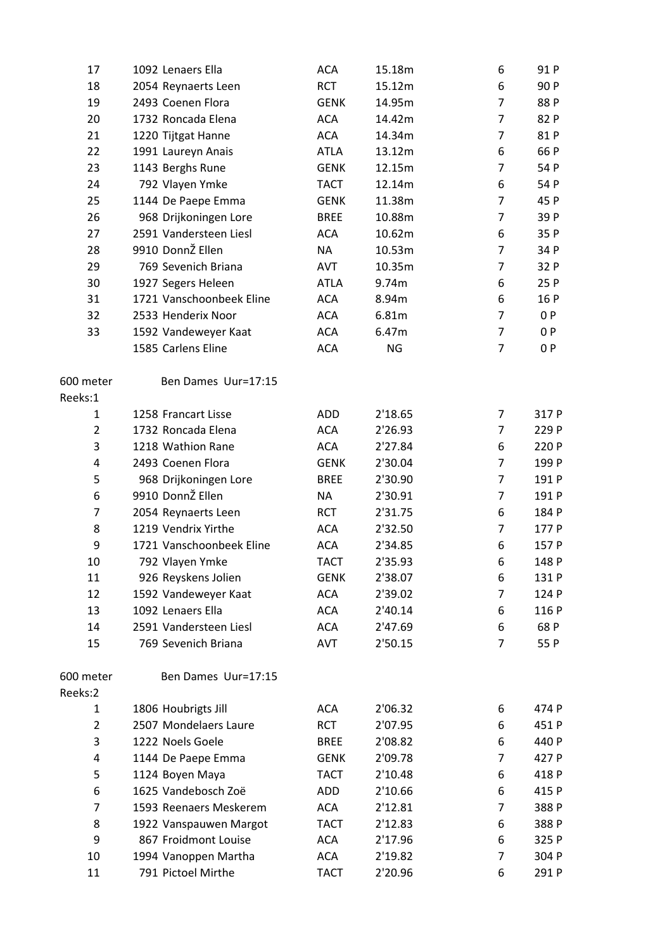| 17             | 1092 Lenaers Ella        | <b>ACA</b>  | 15.18m    | 6              | 91 P  |
|----------------|--------------------------|-------------|-----------|----------------|-------|
| 18             | 2054 Reynaerts Leen      | <b>RCT</b>  | 15.12m    | 6              | 90 P  |
| 19             | 2493 Coenen Flora        | <b>GENK</b> | 14.95m    | $\overline{7}$ | 88 P  |
| 20             | 1732 Roncada Elena       | <b>ACA</b>  | 14.42m    | $\overline{7}$ | 82 P  |
| 21             | 1220 Tijtgat Hanne       | <b>ACA</b>  | 14.34m    | 7              | 81 P  |
| 22             | 1991 Laureyn Anais       | <b>ATLA</b> | 13.12m    | 6              | 66 P  |
| 23             | 1143 Berghs Rune         | <b>GENK</b> | 12.15m    | $\overline{7}$ | 54 P  |
| 24             | 792 Vlayen Ymke          | <b>TACT</b> | 12.14m    | 6              | 54 P  |
| 25             | 1144 De Paepe Emma       | <b>GENK</b> | 11.38m    | $\overline{7}$ | 45 P  |
| 26             | 968 Drijkoningen Lore    | <b>BREE</b> | 10.88m    | $\overline{7}$ | 39 P  |
| 27             | 2591 Vandersteen Liesl   | <b>ACA</b>  | 10.62m    | 6              | 35 P  |
| 28             | 9910 DonnŽ Ellen         | <b>NA</b>   | 10.53m    | $\overline{7}$ | 34 P  |
| 29             | 769 Sevenich Briana      | AVT         | 10.35m    | $\overline{7}$ | 32 P  |
| 30             | 1927 Segers Heleen       | <b>ATLA</b> | 9.74m     | 6              | 25 P  |
| 31             | 1721 Vanschoonbeek Eline | <b>ACA</b>  | 8.94m     | 6              | 16 P  |
| 32             | 2533 Henderix Noor       | <b>ACA</b>  | 6.81m     | $\overline{7}$ | 0P    |
| 33             | 1592 Vandeweyer Kaat     | <b>ACA</b>  | 6.47m     | $\overline{7}$ | 0P    |
|                | 1585 Carlens Eline       | <b>ACA</b>  | <b>NG</b> | $\overline{7}$ | 0P    |
| 600 meter      | Ben Dames Uur=17:15      |             |           |                |       |
| Reeks:1        |                          |             |           |                |       |
| 1              | 1258 Francart Lisse      | ADD         | 2'18.65   | 7              | 317 P |
| $\overline{2}$ | 1732 Roncada Elena       | <b>ACA</b>  | 2'26.93   | $\overline{7}$ | 229 P |
| 3              | 1218 Wathion Rane        | <b>ACA</b>  | 2'27.84   | 6              | 220 P |
| 4              | 2493 Coenen Flora        | <b>GENK</b> | 2'30.04   | $\overline{7}$ | 199 P |
| 5              | 968 Drijkoningen Lore    | <b>BREE</b> | 2'30.90   | $\overline{7}$ | 191 P |
| 6              | 9910 DonnŽ Ellen         | <b>NA</b>   | 2'30.91   | 7              | 191 P |
| $\overline{7}$ | 2054 Reynaerts Leen      | <b>RCT</b>  | 2'31.75   | 6              | 184 P |
| 8              | 1219 Vendrix Yirthe      | <b>ACA</b>  | 2'32.50   | $\overline{7}$ | 177 P |
| 9              | 1721 Vanschoonbeek Eline | ACA         | 2'34.85   | 6              | 157 P |
| 10             | 792 Vlayen Ymke          | <b>TACT</b> | 2'35.93   | 6              | 148 P |
| 11             | 926 Reyskens Jolien      | <b>GENK</b> | 2'38.07   | 6              | 131 P |
| 12             | 1592 Vandeweyer Kaat     | ACA         | 2'39.02   | 7              | 124 P |
| 13             | 1092 Lenaers Ella        | <b>ACA</b>  | 2'40.14   | 6              | 116 P |
| 14             | 2591 Vandersteen Liesl   | <b>ACA</b>  | 2'47.69   | 6              | 68 P  |
| 15             | 769 Sevenich Briana      | AVT         | 2'50.15   | 7              | 55 P  |
| 600 meter      | Ben Dames Uur=17:15      |             |           |                |       |
| Reeks:2        |                          |             |           |                |       |
| 1              | 1806 Houbrigts Jill      | <b>ACA</b>  | 2'06.32   | 6              | 474 P |
| $\overline{2}$ | 2507 Mondelaers Laure    | <b>RCT</b>  | 2'07.95   | 6              | 451 P |
| 3              | 1222 Noels Goele         | <b>BREE</b> | 2'08.82   | 6              | 440 P |
| 4              | 1144 De Paepe Emma       | <b>GENK</b> | 2'09.78   | 7              | 427 P |
| 5              | 1124 Boyen Maya          | <b>TACT</b> | 2'10.48   | 6              | 418 P |
| 6              | 1625 Vandebosch Zoë      | ADD         | 2'10.66   | 6              | 415 P |
| 7              | 1593 Reenaers Meskerem   | <b>ACA</b>  | 2'12.81   | 7              | 388 P |
| 8              | 1922 Vanspauwen Margot   | <b>TACT</b> | 2'12.83   | 6              | 388 P |
| 9              | 867 Froidmont Louise     | <b>ACA</b>  | 2'17.96   | 6              | 325 P |
| 10             | 1994 Vanoppen Martha     | ACA         | 2'19.82   | 7              | 304 P |
| 11             | 791 Pictoel Mirthe       | <b>TACT</b> | 2'20.96   | 6              | 291 P |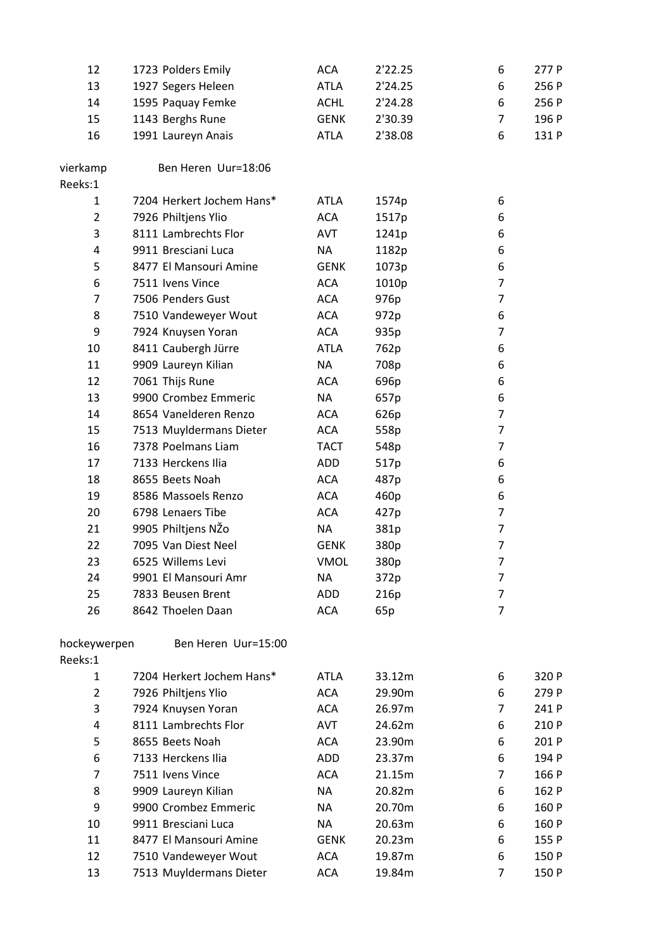| 12             | 1723 Polders Emily        | <b>ACA</b>  | 2'22.25 | 6              | 277 P |
|----------------|---------------------------|-------------|---------|----------------|-------|
| 13             | 1927 Segers Heleen        | <b>ATLA</b> | 2'24.25 | 6              | 256 P |
| 14             | 1595 Paquay Femke         | <b>ACHL</b> | 2'24.28 | 6              | 256 P |
| 15             | 1143 Berghs Rune          | <b>GENK</b> | 2'30.39 | $\overline{7}$ | 196 P |
| 16             | 1991 Laureyn Anais        | <b>ATLA</b> | 2'38.08 | 6              | 131 P |
| vierkamp       | Ben Heren Uur=18:06       |             |         |                |       |
| Reeks:1        |                           |             |         |                |       |
| 1              | 7204 Herkert Jochem Hans* | <b>ATLA</b> | 1574p   | 6              |       |
| $\overline{2}$ | 7926 Philtjens Ylio       | <b>ACA</b>  | 1517p   | 6              |       |
| 3              | 8111 Lambrechts Flor      | AVT         | 1241p   | 6              |       |
| 4              | 9911 Bresciani Luca       | <b>NA</b>   | 1182p   | 6              |       |
| 5              | 8477 El Mansouri Amine    | <b>GENK</b> | 1073p   | 6              |       |
| 6              | 7511 Ivens Vince          | ACA         | 1010p   | $\overline{7}$ |       |
| 7              | 7506 Penders Gust         | <b>ACA</b>  | 976p    | $\overline{7}$ |       |
| 8              | 7510 Vandeweyer Wout      | <b>ACA</b>  | 972p    | 6              |       |
| 9              | 7924 Knuysen Yoran        | <b>ACA</b>  | 935p    | $\overline{7}$ |       |
| 10             | 8411 Caubergh Jürre       | <b>ATLA</b> | 762p    | 6              |       |
| 11             | 9909 Laureyn Kilian       | <b>NA</b>   | 708p    | 6              |       |
| 12             | 7061 Thijs Rune           | <b>ACA</b>  | 696p    | 6              |       |
| 13             | 9900 Crombez Emmeric      | NA          | 657p    | 6              |       |
| 14             | 8654 Vanelderen Renzo     | <b>ACA</b>  | 626p    | $\overline{7}$ |       |
| 15             | 7513 Muyldermans Dieter   | <b>ACA</b>  | 558p    | $\overline{7}$ |       |
| 16             | 7378 Poelmans Liam        | <b>TACT</b> | 548p    | $\overline{7}$ |       |
| 17             | 7133 Herckens Ilia        | ADD         | 517p    | 6              |       |
| 18             | 8655 Beets Noah           | <b>ACA</b>  | 487p    | 6              |       |
| 19             | 8586 Massoels Renzo       | <b>ACA</b>  | 460p    | 6              |       |
| 20             | 6798 Lenaers Tibe         | <b>ACA</b>  | 427p    | $\overline{7}$ |       |
| 21             | 9905 Philtjens NŽo        | <b>NA</b>   | 381p    | $\overline{7}$ |       |
| 22             | 7095 Van Diest Neel       | <b>GENK</b> | 380p    | $\overline{7}$ |       |
| 23             | 6525 Willems Levi         | <b>VMOL</b> | 380p    | $\overline{7}$ |       |
| 24             | 9901 El Mansouri Amr      | <b>NA</b>   | 372p    | 7              |       |
| 25             | 7833 Beusen Brent         | ADD         | 216p    | 7              |       |
| 26             | 8642 Thoelen Daan         | <b>ACA</b>  | 65p     | $\overline{7}$ |       |
|                |                           |             |         |                |       |
| hockeywerpen   | Ben Heren Uur=15:00       |             |         |                |       |
| Reeks:1        |                           |             |         |                |       |
| 1              | 7204 Herkert Jochem Hans* | <b>ATLA</b> | 33.12m  | 6              | 320 P |
| $\overline{2}$ | 7926 Philtjens Ylio       | <b>ACA</b>  | 29.90m  | 6              | 279 P |
| 3              | 7924 Knuysen Yoran        | <b>ACA</b>  | 26.97m  | $\overline{7}$ | 241 P |
| 4              | 8111 Lambrechts Flor      | <b>AVT</b>  | 24.62m  | 6              | 210 P |
| 5              | 8655 Beets Noah           | <b>ACA</b>  | 23.90m  | 6              | 201 P |
| 6              | 7133 Herckens Ilia        | ADD         | 23.37m  | 6              | 194 P |
| 7              | 7511 Ivens Vince          | <b>ACA</b>  | 21.15m  | 7              | 166 P |
| 8              | 9909 Laureyn Kilian       | <b>NA</b>   | 20.82m  | 6              | 162 P |
| 9              | 9900 Crombez Emmeric      | <b>NA</b>   | 20.70m  | 6              | 160 P |
| 10             | 9911 Bresciani Luca       | <b>NA</b>   | 20.63m  | 6              | 160 P |
| 11             | 8477 El Mansouri Amine    | <b>GENK</b> | 20.23m  | 6              | 155 P |
| 12             | 7510 Vandeweyer Wout      | ACA         | 19.87m  | 6              | 150 P |
| 13             | 7513 Muyldermans Dieter   | <b>ACA</b>  | 19.84m  | 7              | 150 P |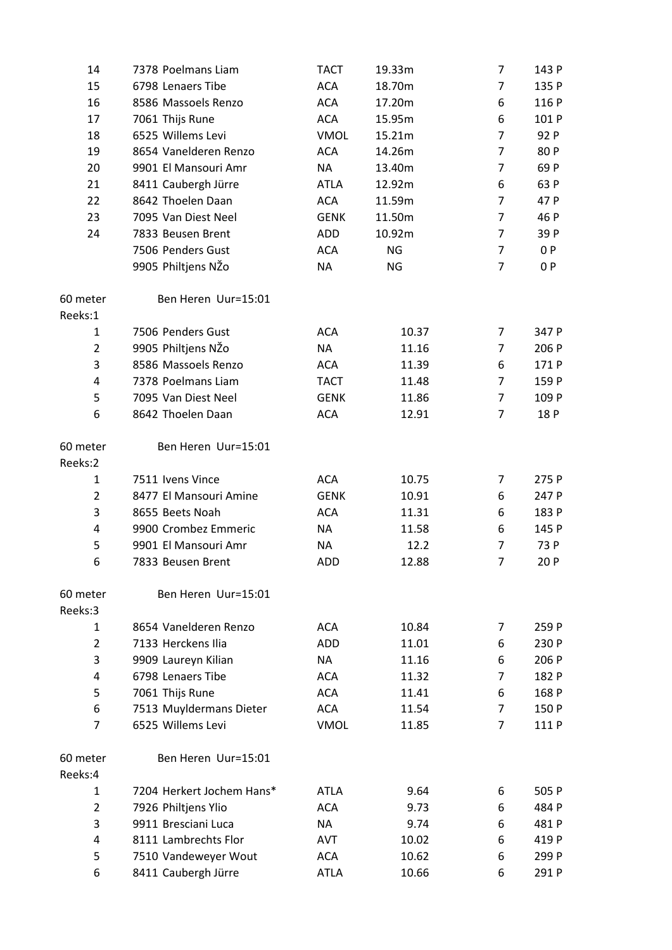| 14                  | 7378 Poelmans Liam        | <b>TACT</b> | 19.33m | 7              | 143 P |
|---------------------|---------------------------|-------------|--------|----------------|-------|
| 15                  | 6798 Lenaers Tibe         | <b>ACA</b>  | 18.70m | 7              | 135 P |
| 16                  | 8586 Massoels Renzo       | <b>ACA</b>  | 17.20m | 6              | 116 P |
| 17                  | 7061 Thijs Rune           | <b>ACA</b>  | 15.95m | 6              | 101 P |
| 18                  | 6525 Willems Levi         | <b>VMOL</b> | 15.21m | $\overline{7}$ | 92 P  |
| 19                  | 8654 Vanelderen Renzo     | <b>ACA</b>  | 14.26m | 7              | 80 P  |
| 20                  | 9901 El Mansouri Amr      | <b>NA</b>   | 13.40m | 7              | 69 P  |
| 21                  | 8411 Caubergh Jürre       | <b>ATLA</b> | 12.92m | 6              | 63 P  |
| 22                  | 8642 Thoelen Daan         | <b>ACA</b>  | 11.59m | 7              | 47 P  |
| 23                  | 7095 Van Diest Neel       | <b>GENK</b> | 11.50m | $\overline{7}$ | 46 P  |
| 24                  | 7833 Beusen Brent         | ADD         | 10.92m | 7              | 39 P  |
|                     | 7506 Penders Gust         | <b>ACA</b>  | NG     | $\overline{7}$ | 0 P   |
|                     | 9905 Philtjens NŽo        | <b>NA</b>   | NG     | $\overline{7}$ | 0 P   |
| 60 meter<br>Reeks:1 | Ben Heren Uur=15:01       |             |        |                |       |
| 1                   | 7506 Penders Gust         | <b>ACA</b>  | 10.37  | 7              | 347 P |
| $\overline{2}$      | 9905 Philtjens NŽo        | <b>NA</b>   | 11.16  | 7              | 206 P |
| 3                   | 8586 Massoels Renzo       | <b>ACA</b>  | 11.39  | 6              | 171 P |
| 4                   | 7378 Poelmans Liam        | <b>TACT</b> | 11.48  | $\overline{7}$ | 159 P |
| 5                   | 7095 Van Diest Neel       | <b>GENK</b> | 11.86  | 7              | 109 P |
| 6                   | 8642 Thoelen Daan         | <b>ACA</b>  | 12.91  | $\overline{7}$ | 18 P  |
| 60 meter<br>Reeks:2 | Ben Heren Uur=15:01       |             |        |                |       |
| 1                   | 7511 Ivens Vince          | <b>ACA</b>  | 10.75  | 7              | 275 P |
| $\overline{2}$      | 8477 El Mansouri Amine    | <b>GENK</b> | 10.91  | 6              | 247 P |
| 3                   | 8655 Beets Noah           | <b>ACA</b>  | 11.31  | 6              | 183 P |
| 4                   | 9900 Crombez Emmeric      | <b>NA</b>   | 11.58  | 6              | 145 P |
| 5                   | 9901 El Mansouri Amr      | <b>NA</b>   | 12.2   | 7              | 73 P  |
| 6                   | 7833 Beusen Brent         | <b>ADD</b>  | 12.88  | $\overline{7}$ | 20 P  |
| 60 meter            | Ben Heren Uur=15:01       |             |        |                |       |
| Reeks:3             |                           |             |        |                |       |
| 1                   | 8654 Vanelderen Renzo     | <b>ACA</b>  | 10.84  | 7              | 259 P |
| $\overline{2}$      | 7133 Herckens Ilia        | ADD         | 11.01  | 6              | 230 P |
| 3                   | 9909 Laureyn Kilian       | NA          | 11.16  | 6              | 206 P |
| 4                   | 6798 Lenaers Tibe         | <b>ACA</b>  | 11.32  | 7              | 182 P |
| 5                   | 7061 Thijs Rune           | <b>ACA</b>  | 11.41  | 6              | 168 P |
| 6                   | 7513 Muyldermans Dieter   | <b>ACA</b>  | 11.54  | 7              | 150 P |
| $\overline{7}$      | 6525 Willems Levi         | <b>VMOL</b> | 11.85  | $\overline{7}$ | 111 P |
| 60 meter<br>Reeks:4 | Ben Heren Uur=15:01       |             |        |                |       |
| 1                   | 7204 Herkert Jochem Hans* | <b>ATLA</b> | 9.64   | 6              | 505 P |
| 2                   | 7926 Philtjens Ylio       | <b>ACA</b>  | 9.73   | 6              | 484 P |
| 3                   | 9911 Bresciani Luca       | NA          | 9.74   | 6              | 481 P |
| 4                   | 8111 Lambrechts Flor      | <b>AVT</b>  | 10.02  | 6              | 419 P |
| 5                   | 7510 Vandeweyer Wout      | <b>ACA</b>  | 10.62  | 6              | 299 P |
| 6                   | 8411 Caubergh Jürre       | <b>ATLA</b> | 10.66  | 6              | 291 P |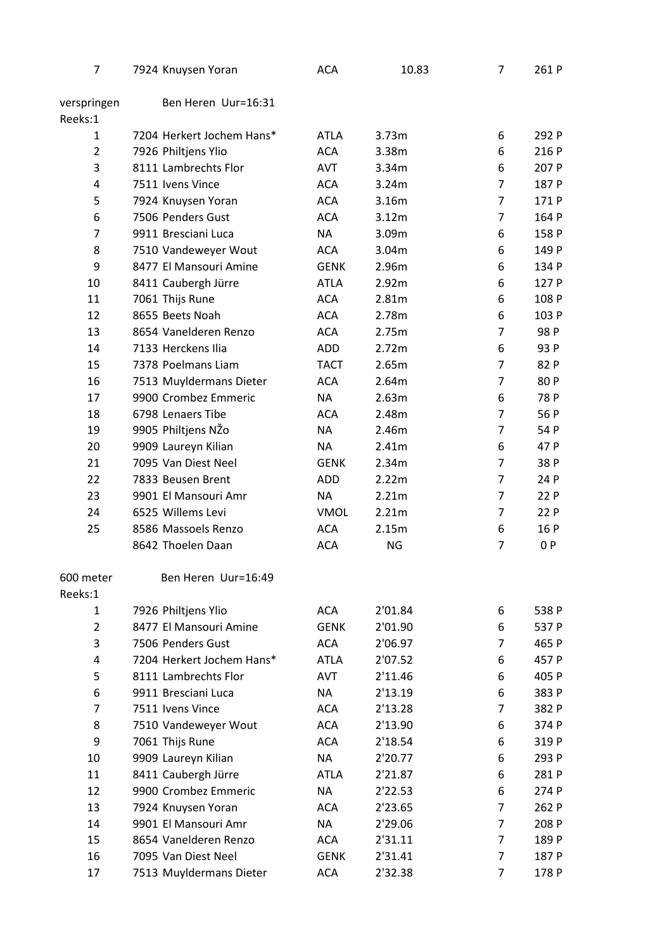| 7              | 7924 Knuysen Yoran        | <b>ACA</b>  | 10.83   | 7              | 261 P |
|----------------|---------------------------|-------------|---------|----------------|-------|
| verspringen    | Ben Heren Uur=16:31       |             |         |                |       |
| Reeks:1        |                           |             |         |                |       |
| $\mathbf{1}$   | 7204 Herkert Jochem Hans* | <b>ATLA</b> | 3.73m   | 6              | 292 P |
| $\overline{2}$ | 7926 Philtjens Ylio       | <b>ACA</b>  | 3.38m   | 6              | 216 P |
| 3              | 8111 Lambrechts Flor      | <b>AVT</b>  | 3.34m   | 6              | 207 P |
| 4              | 7511 Ivens Vince          | <b>ACA</b>  | 3.24m   | $\overline{7}$ | 187 P |
| 5              | 7924 Knuysen Yoran        | <b>ACA</b>  | 3.16m   | $\overline{7}$ | 171 P |
| 6              | 7506 Penders Gust         | <b>ACA</b>  | 3.12m   | $\overline{7}$ | 164 P |
| 7              | 9911 Bresciani Luca       | NA          | 3.09m   | 6              | 158 P |
| 8              | 7510 Vandeweyer Wout      | <b>ACA</b>  | 3.04m   | 6              | 149 P |
| 9              | 8477 El Mansouri Amine    | <b>GENK</b> | 2.96m   | 6              | 134 P |
| 10             | 8411 Caubergh Jürre       | <b>ATLA</b> | 2.92m   | 6              | 127 P |
| 11             | 7061 Thijs Rune           | <b>ACA</b>  | 2.81m   | 6              | 108 P |
| 12             | 8655 Beets Noah           | <b>ACA</b>  | 2.78m   | 6              | 103 P |
| 13             | 8654 Vanelderen Renzo     | <b>ACA</b>  | 2.75m   | 7              | 98 P  |
| 14             | 7133 Herckens Ilia        | ADD         | 2.72m   | 6              | 93 P  |
| 15             | 7378 Poelmans Liam        | <b>TACT</b> | 2.65m   | $\overline{7}$ | 82 P  |
| 16             | 7513 Muyldermans Dieter   | <b>ACA</b>  | 2.64m   | $\overline{7}$ | 80 P  |
| 17             | 9900 Crombez Emmeric      | NA          | 2.63m   | 6              | 78 P  |
| 18             | 6798 Lenaers Tibe         | <b>ACA</b>  | 2.48m   | $\overline{7}$ | 56 P  |
| 19             | 9905 Philtjens NŽo        | NA          | 2.46m   | $\overline{7}$ | 54 P  |
| 20             | 9909 Laureyn Kilian       | NA          | 2.41m   | 6              | 47 P  |
| 21             | 7095 Van Diest Neel       | <b>GENK</b> | 2.34m   | $\overline{7}$ | 38 P  |
| 22             | 7833 Beusen Brent         | ADD         | 2.22m   | 7              | 24 P  |
| 23             | 9901 El Mansouri Amr      |             | 2.21m   | 7              | 22 P  |
|                | 6525 Willems Levi         | NA          |         |                |       |
| 24             |                           | <b>VMOL</b> | 2.21m   | 7              | 22 P  |
| 25             | 8586 Massoels Renzo       | <b>ACA</b>  | 2.15m   | 6              | 16 P  |
|                | 8642 Thoelen Daan         | <b>ACA</b>  | NG      | 7              | 0P    |
| 600 meter      | Ben Heren Uur=16:49       |             |         |                |       |
| Reeks:1        |                           |             |         |                |       |
| 1              | 7926 Philtjens Ylio       | <b>ACA</b>  | 2'01.84 | 6              | 538 P |
| $\overline{2}$ | 8477 El Mansouri Amine    | <b>GENK</b> | 2'01.90 | 6              | 537 P |
| 3              | 7506 Penders Gust         | <b>ACA</b>  | 2'06.97 | 7              | 465 P |
| 4              | 7204 Herkert Jochem Hans* | <b>ATLA</b> | 2'07.52 | 6              | 457 P |
| 5              | 8111 Lambrechts Flor      | <b>AVT</b>  | 2'11.46 | 6              | 405 P |
| 6              | 9911 Bresciani Luca       | <b>NA</b>   | 2'13.19 | 6              | 383 P |
| $\overline{7}$ | 7511 Ivens Vince          | <b>ACA</b>  | 2'13.28 | 7              | 382 P |
| 8              | 7510 Vandeweyer Wout      | <b>ACA</b>  | 2'13.90 | 6              | 374 P |
| 9              | 7061 Thijs Rune           | <b>ACA</b>  | 2'18.54 | 6              | 319 P |
| 10             | 9909 Laureyn Kilian       | <b>NA</b>   | 2'20.77 | 6              | 293 P |
| 11             | 8411 Caubergh Jürre       | <b>ATLA</b> | 2'21.87 | 6              | 281P  |
| 12             | 9900 Crombez Emmeric      | NA          | 2'22.53 | 6              | 274 P |
| 13             | 7924 Knuysen Yoran        | <b>ACA</b>  | 2'23.65 | $\overline{7}$ | 262 P |
| 14             | 9901 El Mansouri Amr      | NA          | 2'29.06 | 7              | 208 P |
| 15             | 8654 Vanelderen Renzo     | <b>ACA</b>  | 2'31.11 | 7              | 189 P |
| 16             | 7095 Van Diest Neel       | <b>GENK</b> | 2'31.41 | 7              | 187 P |
| 17             | 7513 Muyldermans Dieter   | <b>ACA</b>  | 2'32.38 | 7              | 178 P |
|                |                           |             |         |                |       |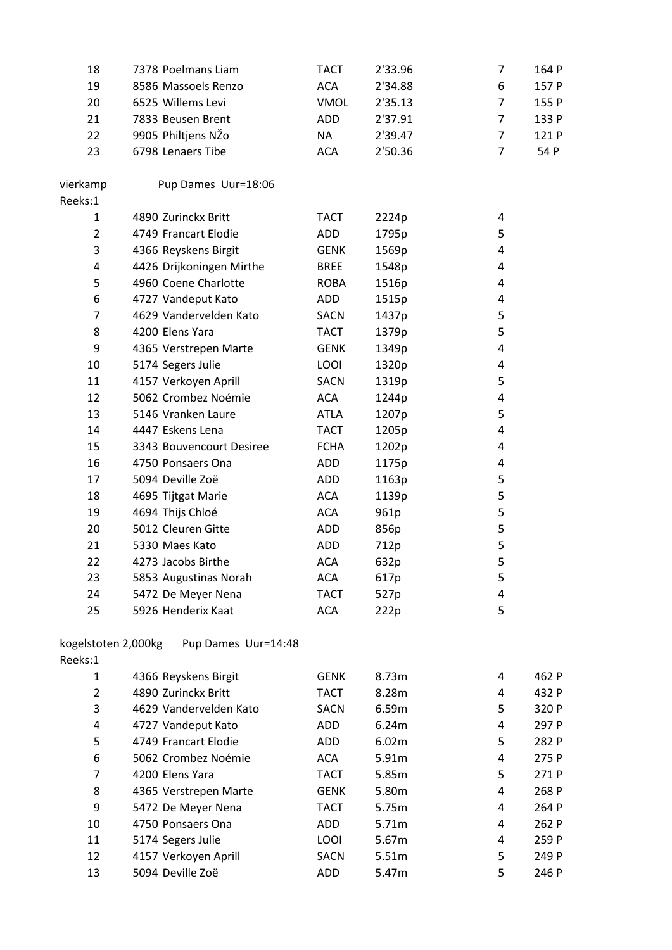| 18                  | 7378 Poelmans Liam       | <b>TACT</b> | 2'33.96 | 7              | 164 P |
|---------------------|--------------------------|-------------|---------|----------------|-------|
| 19                  | 8586 Massoels Renzo      | <b>ACA</b>  | 2'34.88 | 6              | 157 P |
| 20                  | 6525 Willems Levi        | <b>VMOL</b> | 2'35.13 | $\overline{7}$ | 155 P |
| 21                  | 7833 Beusen Brent        | ADD         | 2'37.91 | 7              | 133 P |
| 22                  | 9905 Philtjens NŽo       | <b>NA</b>   | 2'39.47 | 7              | 121 P |
| 23                  | 6798 Lenaers Tibe        | <b>ACA</b>  | 2'50.36 | $\overline{7}$ | 54 P  |
|                     |                          |             |         |                |       |
| vierkamp            | Pup Dames Uur=18:06      |             |         |                |       |
| Reeks:1             |                          |             |         |                |       |
| $\mathbf{1}$        | 4890 Zurinckx Britt      | <b>TACT</b> | 2224p   | 4              |       |
| $\overline{2}$      | 4749 Francart Elodie     | ADD         | 1795p   | 5              |       |
| 3                   | 4366 Reyskens Birgit     | <b>GENK</b> | 1569p   | 4              |       |
| 4                   | 4426 Drijkoningen Mirthe | <b>BREE</b> | 1548p   | 4              |       |
| 5                   | 4960 Coene Charlotte     | <b>ROBA</b> | 1516p   | 4              |       |
| 6                   | 4727 Vandeput Kato       | ADD         | 1515p   | 4              |       |
| 7                   | 4629 Vandervelden Kato   | <b>SACN</b> | 1437p   | 5              |       |
| 8                   | 4200 Elens Yara          | <b>TACT</b> | 1379p   | 5              |       |
| 9                   | 4365 Verstrepen Marte    | <b>GENK</b> | 1349p   | 4              |       |
| 10                  | 5174 Segers Julie        | LOOI        | 1320p   | 4              |       |
| 11                  | 4157 Verkoyen Aprill     | <b>SACN</b> | 1319p   | 5              |       |
| 12                  | 5062 Crombez Noémie      | <b>ACA</b>  | 1244p   | 4              |       |
| 13                  | 5146 Vranken Laure       | <b>ATLA</b> | 1207p   | 5              |       |
| 14                  | 4447 Eskens Lena         | <b>TACT</b> | 1205p   | 4              |       |
| 15                  | 3343 Bouvencourt Desiree | <b>FCHA</b> | 1202p   | 4              |       |
| 16                  | 4750 Ponsaers Ona        | ADD         | 1175p   | 4              |       |
| 17                  | 5094 Deville Zoë         | ADD         | 1163p   | 5              |       |
| 18                  | 4695 Tijtgat Marie       | <b>ACA</b>  | 1139p   | 5              |       |
| 19                  | 4694 Thijs Chloé         | <b>ACA</b>  | 961p    | 5              |       |
| 20                  | 5012 Cleuren Gitte       | ADD         | 856p    | 5              |       |
| 21                  | 5330 Maes Kato           | <b>ADD</b>  | 712p    | 5              |       |
| 22                  | 4273 Jacobs Birthe       | <b>ACA</b>  | 632p    | 5              |       |
| 23                  | 5853 Augustinas Norah    | <b>ACA</b>  | 617p    | 5              |       |
| 24                  | 5472 De Meyer Nena       | <b>TACT</b> | 527p    | 4              |       |
| 25                  | 5926 Henderix Kaat       | <b>ACA</b>  | 222p    | 5              |       |
|                     |                          |             |         |                |       |
| kogelstoten 2,000kg | Pup Dames Uur=14:48      |             |         |                |       |
| Reeks:1             |                          |             |         |                |       |
| 1                   | 4366 Reyskens Birgit     | <b>GENK</b> | 8.73m   | 4              | 462 P |
| $\overline{2}$      | 4890 Zurinckx Britt      | <b>TACT</b> | 8.28m   | 4              | 432 P |
| 3                   | 4629 Vandervelden Kato   | <b>SACN</b> | 6.59m   | 5              | 320 P |
| 4                   | 4727 Vandeput Kato       | ADD         | 6.24m   | 4              | 297 P |
| 5                   | 4749 Francart Elodie     | ADD         | 6.02m   | 5              | 282 P |
| 6                   | 5062 Crombez Noémie      | <b>ACA</b>  | 5.91m   | 4              | 275 P |
| $\overline{7}$      | 4200 Elens Yara          | <b>TACT</b> | 5.85m   | 5              | 271 P |
| 8                   | 4365 Verstrepen Marte    | <b>GENK</b> | 5.80m   | 4              | 268 P |
| 9                   | 5472 De Meyer Nena       | <b>TACT</b> | 5.75m   | 4              | 264 P |
| 10                  | 4750 Ponsaers Ona        | ADD         | 5.71m   | 4              | 262 P |
| 11                  | 5174 Segers Julie        | LOOI        | 5.67m   | 4              | 259 P |
| 12                  | 4157 Verkoyen Aprill     | <b>SACN</b> | 5.51m   | 5              | 249 P |
| 13                  | 5094 Deville Zoë         | ADD         | 5.47m   | 5              | 246 P |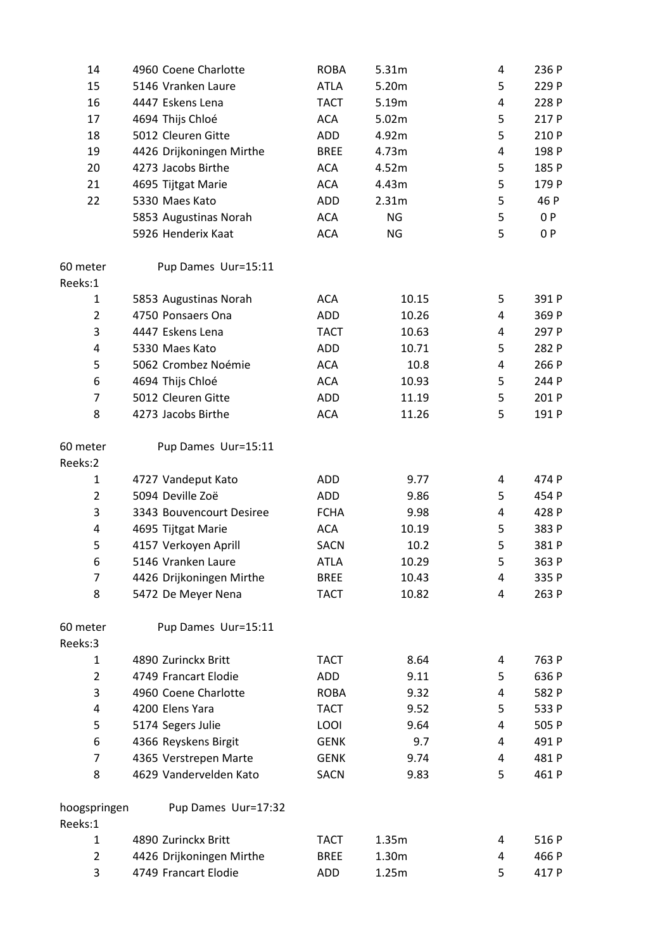| 14             | 4960 Coene Charlotte     | <b>ROBA</b> | 5.31m     | 4 | 236 P |
|----------------|--------------------------|-------------|-----------|---|-------|
| 15             | 5146 Vranken Laure       | <b>ATLA</b> | 5.20m     | 5 | 229 P |
| 16             | 4447 Eskens Lena         | <b>TACT</b> | 5.19m     | 4 | 228 P |
| 17             | 4694 Thijs Chloé         | <b>ACA</b>  | 5.02m     | 5 | 217 P |
| 18             | 5012 Cleuren Gitte       | <b>ADD</b>  | 4.92m     | 5 | 210 P |
| 19             | 4426 Drijkoningen Mirthe | <b>BREE</b> | 4.73m     | 4 | 198 P |
| 20             | 4273 Jacobs Birthe       | <b>ACA</b>  | 4.52m     | 5 | 185 P |
| 21             | 4695 Tijtgat Marie       | <b>ACA</b>  | 4.43m     | 5 | 179 P |
| 22             | 5330 Maes Kato           | <b>ADD</b>  | 2.31m     | 5 | 46 P  |
|                | 5853 Augustinas Norah    | <b>ACA</b>  | <b>NG</b> | 5 | 0P    |
|                | 5926 Henderix Kaat       | <b>ACA</b>  | <b>NG</b> | 5 | 0P    |
| 60 meter       | Pup Dames Uur=15:11      |             |           |   |       |
| Reeks:1        |                          |             |           |   |       |
| $\mathbf{1}$   | 5853 Augustinas Norah    | <b>ACA</b>  | 10.15     | 5 | 391 P |
| $\overline{2}$ | 4750 Ponsaers Ona        | <b>ADD</b>  | 10.26     | 4 | 369 P |
| 3              | 4447 Eskens Lena         | <b>TACT</b> | 10.63     | 4 | 297 P |
| 4              | 5330 Maes Kato           | ADD         | 10.71     | 5 | 282 P |
| 5              | 5062 Crombez Noémie      | <b>ACA</b>  | 10.8      | 4 | 266 P |
| 6              | 4694 Thijs Chloé         | <b>ACA</b>  | 10.93     | 5 | 244 P |
| $\overline{7}$ | 5012 Cleuren Gitte       | <b>ADD</b>  | 11.19     | 5 | 201 P |
| 8              | 4273 Jacobs Birthe       | <b>ACA</b>  | 11.26     | 5 | 191 P |
| 60 meter       | Pup Dames Uur=15:11      |             |           |   |       |
| Reeks:2        |                          |             |           |   |       |
| 1              | 4727 Vandeput Kato       | <b>ADD</b>  | 9.77      | 4 | 474 P |
| $\overline{2}$ | 5094 Deville Zoë         | <b>ADD</b>  | 9.86      | 5 | 454 P |
| 3              | 3343 Bouvencourt Desiree | <b>FCHA</b> | 9.98      | 4 | 428 P |
| 4              | 4695 Tijtgat Marie       | <b>ACA</b>  | 10.19     | 5 | 383 P |
| 5              | 4157 Verkoyen Aprill     | <b>SACN</b> | 10.2      | 5 | 381 P |
| 6              | 5146 Vranken Laure       | <b>ATLA</b> | 10.29     | 5 | 363 P |
| 7              | 4426 Drijkoningen Mirthe | <b>BREE</b> | 10.43     | 4 | 335 P |
| 8              | 5472 De Meyer Nena       | <b>TACT</b> | 10.82     | 4 | 263 P |
| 60 meter       | Pup Dames Uur=15:11      |             |           |   |       |
| Reeks:3        |                          |             |           |   |       |
| $\mathbf{1}$   | 4890 Zurinckx Britt      | <b>TACT</b> | 8.64      | 4 | 763 P |
| $\overline{2}$ | 4749 Francart Elodie     | ADD         | 9.11      | 5 | 636 P |
| 3              | 4960 Coene Charlotte     | <b>ROBA</b> | 9.32      | 4 | 582 P |
| 4              | 4200 Elens Yara          | <b>TACT</b> | 9.52      | 5 | 533 P |
| 5              | 5174 Segers Julie        | LOOI        | 9.64      | 4 | 505 P |
| 6              | 4366 Reyskens Birgit     | <b>GENK</b> | 9.7       | 4 | 491 P |
| 7              | 4365 Verstrepen Marte    | <b>GENK</b> | 9.74      | 4 | 481 P |
| 8              | 4629 Vandervelden Kato   | <b>SACN</b> | 9.83      | 5 | 461 P |
| hoogspringen   | Pup Dames Uur=17:32      |             |           |   |       |
| Reeks:1        |                          |             |           |   |       |
| 1              | 4890 Zurinckx Britt      | <b>TACT</b> | 1.35m     | 4 | 516 P |
| $\overline{2}$ | 4426 Drijkoningen Mirthe | <b>BREE</b> | 1.30m     | 4 | 466 P |
| 3              | 4749 Francart Elodie     | <b>ADD</b>  | 1.25m     | 5 | 417 P |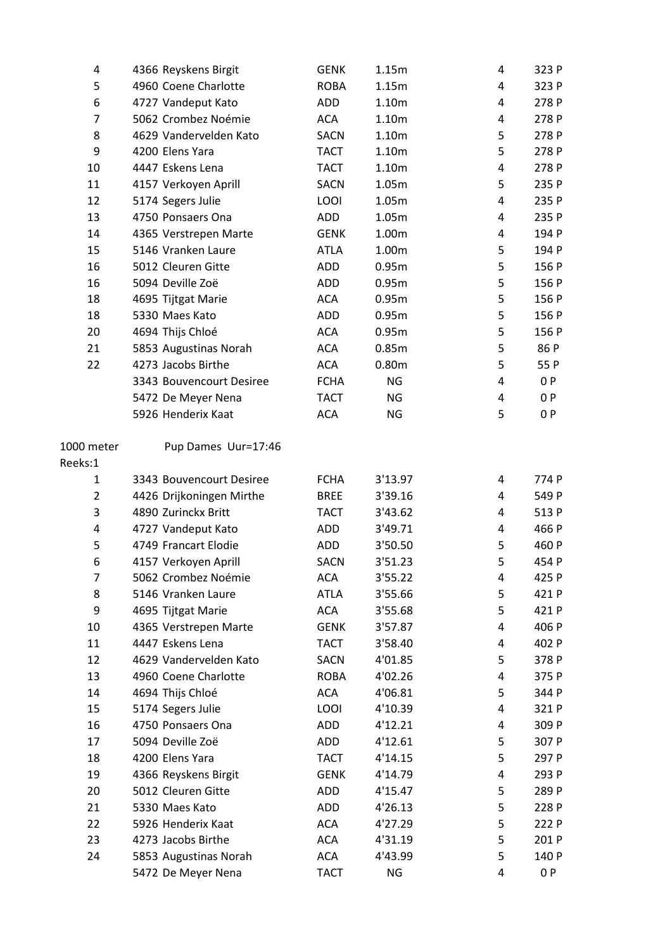| 4              | 4366 Reyskens Birgit     | <b>GENK</b> | 1.15m             | 4 | 323 P |
|----------------|--------------------------|-------------|-------------------|---|-------|
| 5              | 4960 Coene Charlotte     | <b>ROBA</b> | 1.15m             | 4 | 323 P |
| 6              | 4727 Vandeput Kato       | ADD         | 1.10m             | 4 | 278 P |
| $\overline{7}$ | 5062 Crombez Noémie      | <b>ACA</b>  | 1.10m             | 4 | 278 P |
| 8              | 4629 Vandervelden Kato   | <b>SACN</b> | 1.10m             | 5 | 278 P |
| 9              | 4200 Elens Yara          | <b>TACT</b> | 1.10m             | 5 | 278 P |
| 10             | 4447 Eskens Lena         | <b>TACT</b> | 1.10m             | 4 | 278 P |
| 11             | 4157 Verkoyen Aprill     | <b>SACN</b> | 1.05m             | 5 | 235 P |
| 12             | 5174 Segers Julie        | LOOI        | 1.05m             | 4 | 235 P |
| 13             | 4750 Ponsaers Ona        | ADD         | 1.05m             | 4 | 235 P |
| 14             | 4365 Verstrepen Marte    | <b>GENK</b> | 1.00m             | 4 | 194 P |
| 15             | 5146 Vranken Laure       | <b>ATLA</b> | 1.00m             | 5 | 194 P |
| 16             | 5012 Cleuren Gitte       | <b>ADD</b>  | 0.95m             | 5 | 156 P |
| 16             | 5094 Deville Zoë         | ADD         | 0.95m             | 5 | 156 P |
| 18             | 4695 Tijtgat Marie       | <b>ACA</b>  | 0.95m             | 5 | 156 P |
| 18             | 5330 Maes Kato           | <b>ADD</b>  | 0.95m             | 5 | 156 P |
| 20             | 4694 Thijs Chloé         | <b>ACA</b>  | 0.95m             | 5 | 156 P |
| 21             | 5853 Augustinas Norah    | ACA         | 0.85m             | 5 | 86 P  |
| 22             | 4273 Jacobs Birthe       | <b>ACA</b>  | 0.80 <sub>m</sub> | 5 | 55 P  |
|                | 3343 Bouvencourt Desiree | <b>FCHA</b> | <b>NG</b>         | 4 | 0P    |
|                | 5472 De Meyer Nena       | <b>TACT</b> | NG                | 4 | 0 P   |
|                | 5926 Henderix Kaat       | <b>ACA</b>  | <b>NG</b>         | 5 | 0P    |
| 1000 meter     | Pup Dames Uur=17:46      |             |                   |   |       |
| Reeks:1        |                          |             |                   |   |       |
| 1              | 3343 Bouvencourt Desiree | <b>FCHA</b> | 3'13.97           | 4 | 774 P |
| $\overline{2}$ | 4426 Drijkoningen Mirthe | <b>BREE</b> | 3'39.16           | 4 | 549 P |
| 3              | 4890 Zurinckx Britt      | <b>TACT</b> | 3'43.62           | 4 | 513 P |
| 4              | 4727 Vandeput Kato       | ADD         | 3'49.71           | 4 | 466 P |
| 5              | 4749 Francart Elodie     | ADD         | 3'50.50           | 5 | 460 P |
| 6              | 4157 Verkoyen Aprill     | <b>SACN</b> | 3'51.23           | 5 | 454 P |
| 7              | 5062 Crombez Noémie      | ACA         | 3'55.22           | 4 | 425 P |
| 8              | 5146 Vranken Laure       | <b>ATLA</b> | 3'55.66           | 5 | 421 P |
| 9              | 4695 Tijtgat Marie       | ACA         | 3'55.68           | 5 | 421 P |
| 10             | 4365 Verstrepen Marte    | <b>GENK</b> | 3'57.87           | 4 | 406 P |
| 11             | 4447 Eskens Lena         | <b>TACT</b> | 3'58.40           | 4 | 402 P |
| 12             | 4629 Vandervelden Kato   | SACN        | 4'01.85           | 5 | 378 P |
| 13             | 4960 Coene Charlotte     | <b>ROBA</b> | 4'02.26           | 4 | 375 P |
| 14             | 4694 Thijs Chloé         | <b>ACA</b>  | 4'06.81           | 5 | 344 P |
| 15             | 5174 Segers Julie        | LOOI        | 4'10.39           | 4 | 321 P |
| 16             | 4750 Ponsaers Ona        | ADD         | 4'12.21           | 4 | 309 P |
| 17             | 5094 Deville Zoë         | ADD         | 4'12.61           | 5 | 307 P |
| 18             | 4200 Elens Yara          | <b>TACT</b> | 4'14.15           | 5 | 297 P |
| 19             | 4366 Reyskens Birgit     | <b>GENK</b> | 4'14.79           | 4 | 293 P |
| 20             | 5012 Cleuren Gitte       | ADD         | 4'15.47           | 5 | 289 P |
| 21             | 5330 Maes Kato           | <b>ADD</b>  | 4'26.13           | 5 | 228 P |
| 22             | 5926 Henderix Kaat       | <b>ACA</b>  | 4'27.29           | 5 | 222 P |
| 23             | 4273 Jacobs Birthe       | ACA         | 4'31.19           | 5 | 201 P |
| 24             | 5853 Augustinas Norah    | ACA         | 4'43.99           | 5 | 140 P |
|                | 5472 De Meyer Nena       | <b>TACT</b> | NG                | 4 | 0P    |
|                |                          |             |                   |   |       |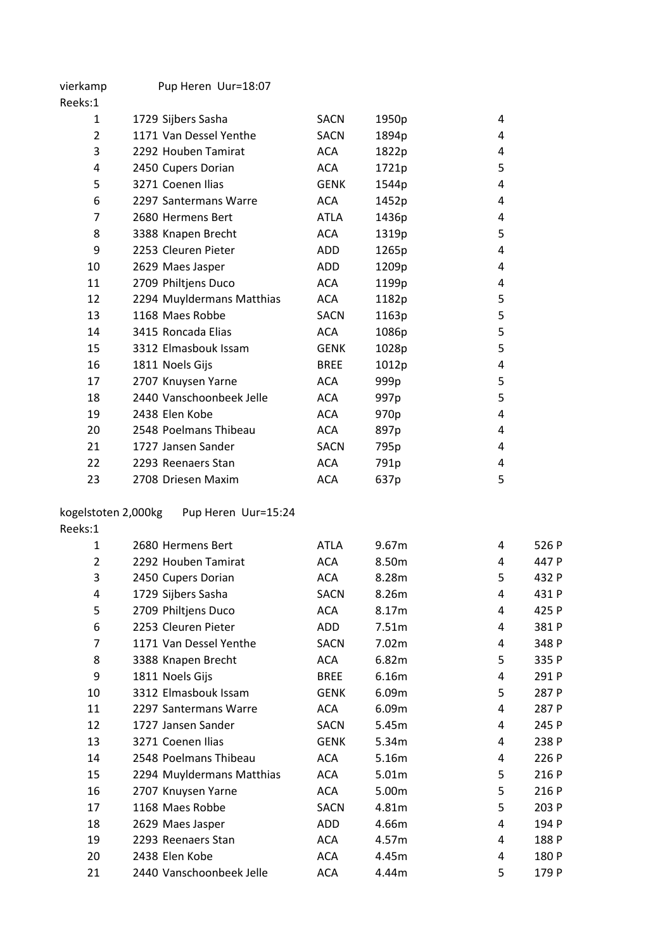| vierkamp       | Pup Heren Uur=18:07       |             |                  |   |
|----------------|---------------------------|-------------|------------------|---|
| Reeks:1        |                           |             |                  |   |
| 1              | 1729 Sijbers Sasha        | <b>SACN</b> | 1950p            | 4 |
| 2              | 1171 Van Dessel Yenthe    | <b>SACN</b> | 1894p            | 4 |
| 3              | 2292 Houben Tamirat       | <b>ACA</b>  | 1822p            | 4 |
| 4              | 2450 Cupers Dorian        | <b>ACA</b>  | 1721p            | 5 |
| 5              | 3271 Coenen Ilias         | <b>GENK</b> | 1544p            | 4 |
| 6              | 2297 Santermans Warre     | <b>ACA</b>  | 1452p            | 4 |
| $\overline{7}$ | 2680 Hermens Bert         | ATLA        | 1436p            | 4 |
| 8              | 3388 Knapen Brecht        | <b>ACA</b>  | 1319p            | 5 |
| 9              | 2253 Cleuren Pieter       | ADD         | 1265p            | 4 |
| 10             | 2629 Maes Jasper          | ADD         | 1209p            | 4 |
| 11             | 2709 Philtjens Duco       | <b>ACA</b>  | 1199p            | 4 |
| 12             | 2294 Muyldermans Matthias | <b>ACA</b>  | 1182p            | 5 |
| 13             | 1168 Maes Robbe           | <b>SACN</b> | 1163p            | 5 |
| 14             | 3415 Roncada Elias        | <b>ACA</b>  | 1086p            | 5 |
| 15             | 3312 Elmasbouk Issam      | <b>GENK</b> | 1028p            | 5 |
| 16             | 1811 Noels Gijs           | <b>BREE</b> | 1012p            | 4 |
| 17             | 2707 Knuysen Yarne        | <b>ACA</b>  | 999p             | 5 |
| 18             | 2440 Vanschoonbeek Jelle  | <b>ACA</b>  | 997 <sub>p</sub> | 5 |
| 19             | 2438 Elen Kobe            | <b>ACA</b>  | 970p             | 4 |
| 20             | 2548 Poelmans Thibeau     | <b>ACA</b>  | 897p             | 4 |
| 21             | 1727 Jansen Sander        | <b>SACN</b> | 795p             | 4 |
| 22             | 2293 Reenaers Stan        | <b>ACA</b>  | 791p             | 4 |
| 23             | 2708 Driesen Maxim        | <b>ACA</b>  | 637p             | 5 |
|                |                           |             |                  |   |

## kogelstoten 2,000kg Pup Heren Uur=15:24

| Reeks:1        |                           |             |       |   |       |
|----------------|---------------------------|-------------|-------|---|-------|
| 1              | 2680 Hermens Bert         | ATLA        | 9.67m | 4 | 526 P |
| $\overline{2}$ | 2292 Houben Tamirat       | <b>ACA</b>  | 8.50m | 4 | 447 P |
| 3              | 2450 Cupers Dorian        | <b>ACA</b>  | 8.28m | 5 | 432 P |
| 4              | 1729 Sijbers Sasha        | <b>SACN</b> | 8.26m | 4 | 431 P |
| 5              | 2709 Philtjens Duco       | <b>ACA</b>  | 8.17m | 4 | 425 P |
| 6              | 2253 Cleuren Pieter       | ADD         | 7.51m | 4 | 381 P |
| 7              | 1171 Van Dessel Yenthe    | <b>SACN</b> | 7.02m | 4 | 348 P |
| 8              | 3388 Knapen Brecht        | <b>ACA</b>  | 6.82m | 5 | 335 P |
| 9              | 1811 Noels Gijs           | <b>BREE</b> | 6.16m | 4 | 291 P |
| 10             | 3312 Elmasbouk Issam      | <b>GENK</b> | 6.09m | 5 | 287 P |
| 11             | 2297 Santermans Warre     | <b>ACA</b>  | 6.09m | 4 | 287 P |
| 12             | 1727 Jansen Sander        | SACN        | 5.45m | 4 | 245 P |
| 13             | 3271 Coenen Ilias         | <b>GENK</b> | 5.34m | 4 | 238 P |
| 14             | 2548 Poelmans Thibeau     | <b>ACA</b>  | 5.16m | 4 | 226 P |
| 15             | 2294 Muyldermans Matthias | ACA         | 5.01m | 5 | 216 P |
| 16             | 2707 Knuysen Yarne        | <b>ACA</b>  | 5.00m | 5 | 216 P |
| 17             | 1168 Maes Robbe           | <b>SACN</b> | 4.81m | 5 | 203 P |
| 18             | 2629 Maes Jasper          | ADD         | 4.66m | 4 | 194 P |
| 19             | 2293 Reenaers Stan        | <b>ACA</b>  | 4.57m | 4 | 188 P |
| 20             | 2438 Elen Kobe            | ACA         | 4.45m | 4 | 180 P |
| 21             | 2440 Vanschoonbeek Jelle  | <b>ACA</b>  | 4.44m | 5 | 179 P |
|                |                           |             |       |   |       |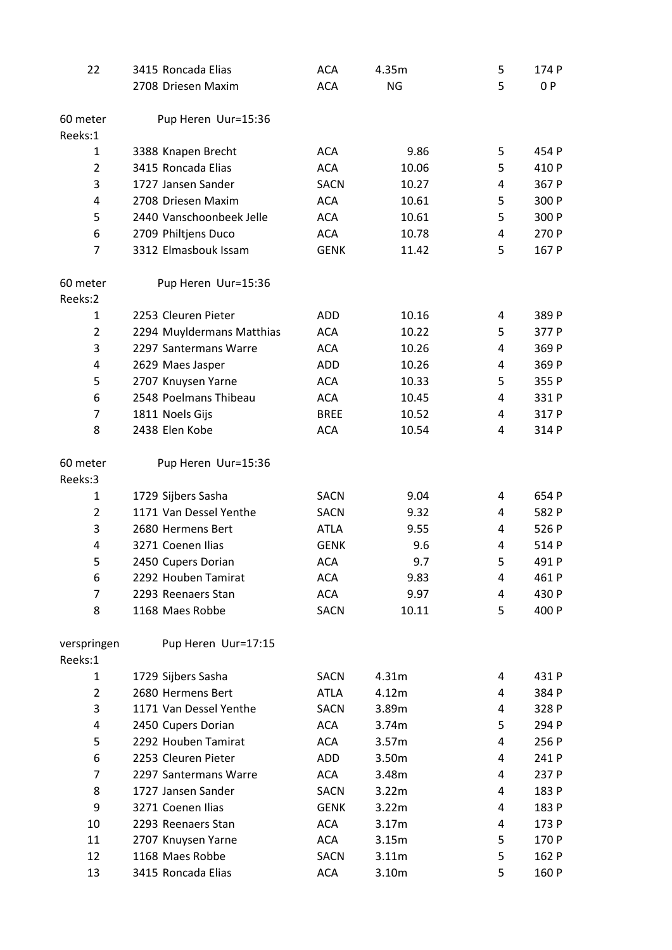| 22             | 3415 Roncada Elias        | <b>ACA</b>  | 4.35m     | 5 | 174 P |
|----------------|---------------------------|-------------|-----------|---|-------|
|                | 2708 Driesen Maxim        | <b>ACA</b>  | <b>NG</b> | 5 | 0P    |
|                |                           |             |           |   |       |
| 60 meter       | Pup Heren Uur=15:36       |             |           |   |       |
| Reeks:1        |                           |             |           |   |       |
| 1              | 3388 Knapen Brecht        | <b>ACA</b>  | 9.86      | 5 | 454 P |
| $\overline{2}$ | 3415 Roncada Elias        | <b>ACA</b>  | 10.06     | 5 | 410 P |
| 3              | 1727 Jansen Sander        | <b>SACN</b> | 10.27     | 4 | 367 P |
| 4              | 2708 Driesen Maxim        | <b>ACA</b>  | 10.61     | 5 | 300 P |
| 5              | 2440 Vanschoonbeek Jelle  | <b>ACA</b>  | 10.61     | 5 | 300 P |
| 6              | 2709 Philtjens Duco       | <b>ACA</b>  | 10.78     | 4 | 270 P |
| $\overline{7}$ | 3312 Elmasbouk Issam      | <b>GENK</b> | 11.42     | 5 | 167 P |
| 60 meter       | Pup Heren Uur=15:36       |             |           |   |       |
| Reeks:2        |                           |             |           |   |       |
| 1              | 2253 Cleuren Pieter       | ADD         | 10.16     | 4 | 389 P |
| $\overline{2}$ | 2294 Muyldermans Matthias | <b>ACA</b>  | 10.22     | 5 | 377 P |
| 3              | 2297 Santermans Warre     | <b>ACA</b>  | 10.26     | 4 | 369 P |
| 4              | 2629 Maes Jasper          | <b>ADD</b>  | 10.26     | 4 | 369 P |
| 5              | 2707 Knuysen Yarne        | <b>ACA</b>  | 10.33     | 5 | 355 P |
| 6              | 2548 Poelmans Thibeau     | <b>ACA</b>  | 10.45     | 4 | 331 P |
| 7              | 1811 Noels Gijs           | <b>BREE</b> | 10.52     | 4 | 317 P |
| 8              | 2438 Elen Kobe            | <b>ACA</b>  | 10.54     | 4 | 314 P |
| 60 meter       | Pup Heren Uur=15:36       |             |           |   |       |
| Reeks:3        |                           |             |           |   |       |
| 1              | 1729 Sijbers Sasha        | <b>SACN</b> | 9.04      | 4 | 654 P |
| $\overline{2}$ | 1171 Van Dessel Yenthe    | <b>SACN</b> | 9.32      | 4 | 582 P |
| 3              | 2680 Hermens Bert         | <b>ATLA</b> | 9.55      | 4 | 526 P |
| 4              | 3271 Coenen Ilias         | <b>GENK</b> | 9.6       | 4 | 514 P |
| 5              | 2450 Cupers Dorian        | <b>ACA</b>  | 9.7       | 5 | 491 P |
| 6              | 2292 Houben Tamirat       | <b>ACA</b>  | 9.83      | 4 | 461 P |
| 7              | 2293 Reenaers Stan        | <b>ACA</b>  | 9.97      | 4 | 430 P |
| 8              | 1168 Maes Robbe           | <b>SACN</b> | 10.11     | 5 | 400 P |
| verspringen    | Pup Heren Uur=17:15       |             |           |   |       |
| Reeks:1        |                           |             |           |   |       |
| 1              | 1729 Sijbers Sasha        | <b>SACN</b> | 4.31m     | 4 | 431 P |
| $\overline{2}$ | 2680 Hermens Bert         | <b>ATLA</b> | 4.12m     | 4 | 384 P |
| 3              | 1171 Van Dessel Yenthe    | <b>SACN</b> | 3.89m     | 4 | 328 P |
| 4              | 2450 Cupers Dorian        | <b>ACA</b>  | 3.74m     | 5 | 294 P |
| 5              | 2292 Houben Tamirat       | <b>ACA</b>  | 3.57m     | 4 | 256 P |
| 6              | 2253 Cleuren Pieter       | ADD         | 3.50m     | 4 | 241 P |
| $\overline{7}$ | 2297 Santermans Warre     | <b>ACA</b>  | 3.48m     | 4 | 237 P |
| 8              | 1727 Jansen Sander        | <b>SACN</b> | 3.22m     | 4 | 183 P |
| 9              | 3271 Coenen Ilias         | <b>GENK</b> | 3.22m     | 4 | 183 P |
| 10             | 2293 Reenaers Stan        | <b>ACA</b>  | 3.17m     | 4 | 173 P |
| 11             | 2707 Knuysen Yarne        | <b>ACA</b>  | 3.15m     | 5 | 170 P |
| 12             | 1168 Maes Robbe           | <b>SACN</b> | 3.11m     | 5 | 162 P |
| 13             | 3415 Roncada Elias        | <b>ACA</b>  | 3.10m     | 5 | 160 P |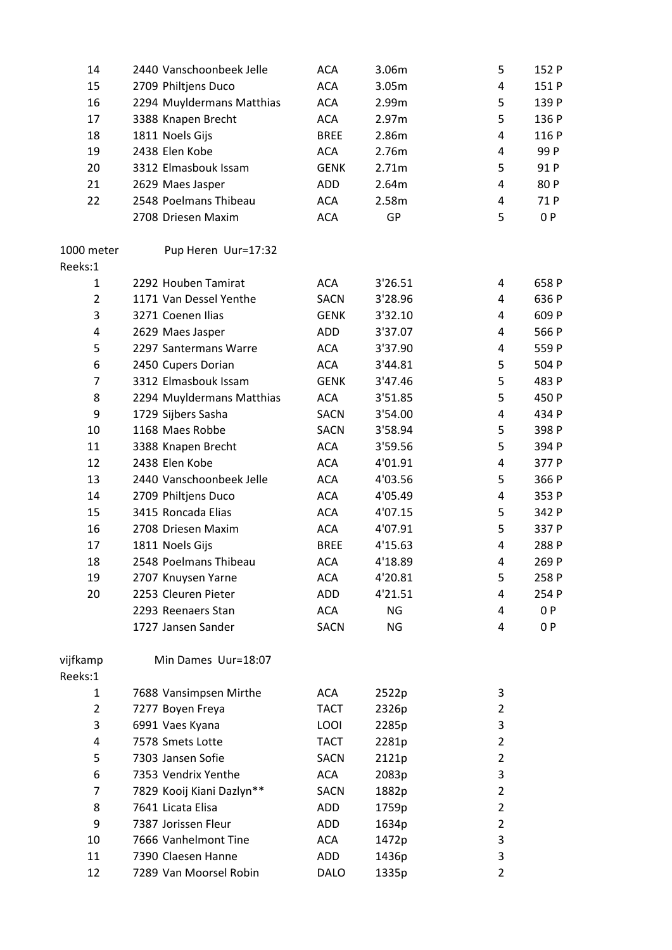| 14             | 2440 Vanschoonbeek Jelle  | <b>ACA</b>  | 3.06m     | 5              | 152 P |
|----------------|---------------------------|-------------|-----------|----------------|-------|
| 15             | 2709 Philtjens Duco       | <b>ACA</b>  | 3.05m     | 4              | 151 P |
| 16             | 2294 Muyldermans Matthias | <b>ACA</b>  | 2.99m     | 5              | 139 P |
| 17             | 3388 Knapen Brecht        | <b>ACA</b>  | 2.97m     | 5              | 136 P |
| 18             | 1811 Noels Gijs           | <b>BREE</b> | 2.86m     | 4              | 116 P |
| 19             | 2438 Elen Kobe            | <b>ACA</b>  | 2.76m     | $\overline{4}$ | 99 P  |
| 20             | 3312 Elmasbouk Issam      | <b>GENK</b> | 2.71m     | 5              | 91 P  |
| 21             | 2629 Maes Jasper          | ADD         | 2.64m     | 4              | 80 P  |
| 22             | 2548 Poelmans Thibeau     | <b>ACA</b>  | 2.58m     | 4              | 71 P  |
|                | 2708 Driesen Maxim        | <b>ACA</b>  | GP        | 5              | 0 P   |
| 1000 meter     | Pup Heren Uur=17:32       |             |           |                |       |
| Reeks:1        |                           |             |           |                |       |
| $\mathbf{1}$   | 2292 Houben Tamirat       | <b>ACA</b>  | 3'26.51   | 4              | 658 P |
| $\overline{2}$ | 1171 Van Dessel Yenthe    | <b>SACN</b> | 3'28.96   | 4              | 636 P |
| 3              | 3271 Coenen Ilias         | <b>GENK</b> | 3'32.10   | 4              | 609 P |
| 4              | 2629 Maes Jasper          | ADD         | 3'37.07   | 4              | 566 P |
| 5              | 2297 Santermans Warre     | <b>ACA</b>  | 3'37.90   | 4              | 559 P |
| 6              | 2450 Cupers Dorian        | <b>ACA</b>  | 3'44.81   | 5              | 504 P |
| $\overline{7}$ | 3312 Elmasbouk Issam      | <b>GENK</b> | 3'47.46   | 5              | 483 P |
| 8              | 2294 Muyldermans Matthias | <b>ACA</b>  | 3'51.85   | 5              | 450 P |
| 9              | 1729 Sijbers Sasha        | <b>SACN</b> | 3'54.00   | 4              | 434 P |
| 10             | 1168 Maes Robbe           | <b>SACN</b> | 3'58.94   | 5              | 398 P |
| 11             | 3388 Knapen Brecht        | <b>ACA</b>  | 3'59.56   | 5              | 394 P |
| 12             | 2438 Elen Kobe            | <b>ACA</b>  | 4'01.91   | $\overline{4}$ | 377 P |
| 13             | 2440 Vanschoonbeek Jelle  | <b>ACA</b>  | 4'03.56   | 5              | 366 P |
| 14             | 2709 Philtjens Duco       | <b>ACA</b>  | 4'05.49   | 4              | 353 P |
| 15             | 3415 Roncada Elias        | <b>ACA</b>  | 4'07.15   | 5              | 342 P |
| 16             | 2708 Driesen Maxim        | <b>ACA</b>  | 4'07.91   | 5              | 337 P |
| 17             | 1811 Noels Gijs           | <b>BREE</b> | 4'15.63   | 4              | 288 P |
| 18             | 2548 Poelmans Thibeau     | <b>ACA</b>  | 4'18.89   | 4              | 269 P |
| 19             | 2707 Knuysen Yarne        | <b>ACA</b>  | 4'20.81   | 5              | 258 P |
| 20             | 2253 Cleuren Pieter       | ADD         | 4'21.51   | 4              | 254 P |
|                | 2293 Reenaers Stan        | <b>ACA</b>  | NG        | 4              | 0 P   |
|                | 1727 Jansen Sander        | <b>SACN</b> | <b>NG</b> | 4              | 0 P   |
| vijfkamp       | Min Dames Uur=18:07       |             |           |                |       |
| Reeks:1        |                           |             |           |                |       |
| $\mathbf{1}$   | 7688 Vansimpsen Mirthe    | <b>ACA</b>  | 2522p     | 3              |       |
| $\overline{2}$ | 7277 Boyen Freya          | <b>TACT</b> | 2326p     | 2              |       |
| 3              | 6991 Vaes Kyana           | <b>LOOI</b> | 2285p     | 3              |       |
| 4              | 7578 Smets Lotte          | <b>TACT</b> | 2281p     | 2              |       |
| 5              | 7303 Jansen Sofie         | <b>SACN</b> | 2121p     | $\overline{2}$ |       |
| 6              | 7353 Vendrix Yenthe       | <b>ACA</b>  | 2083p     | 3              |       |
| 7              | 7829 Kooij Kiani Dazlyn** | <b>SACN</b> | 1882p     | 2              |       |
| 8              | 7641 Licata Elisa         | ADD         | 1759p     | $\overline{2}$ |       |
| 9              | 7387 Jorissen Fleur       | ADD         | 1634p     | $\overline{2}$ |       |
| 10             | 7666 Vanhelmont Tine      | <b>ACA</b>  | 1472p     | 3              |       |
| 11             | 7390 Claesen Hanne        | ADD         | 1436p     | 3              |       |
| 12             | 7289 Van Moorsel Robin    | <b>DALO</b> | 1335p     | 2              |       |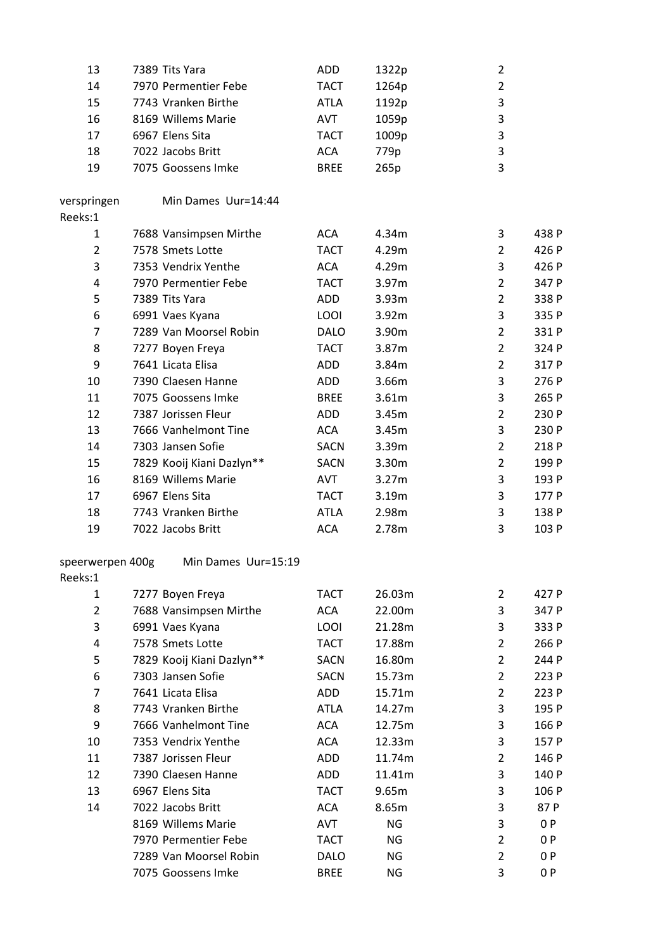| 13                          | 7389 Tits Yara            | <b>ADD</b>  | 1322p             | $\overline{2}$ |       |
|-----------------------------|---------------------------|-------------|-------------------|----------------|-------|
| 14                          | 7970 Permentier Febe      | <b>TACT</b> | 1264p             | $\overline{2}$ |       |
| 15                          | 7743 Vranken Birthe       | <b>ATLA</b> | 1192p             | 3              |       |
| 16                          | 8169 Willems Marie        | AVT         | 1059p             | 3              |       |
| 17                          | 6967 Elens Sita           | <b>TACT</b> | 1009p             | 3              |       |
| 18                          | 7022 Jacobs Britt         | <b>ACA</b>  | 779p              | 3              |       |
| 19                          | 7075 Goossens Imke        | <b>BREE</b> | 265p              | 3              |       |
|                             |                           |             |                   |                |       |
| verspringen                 | Min Dames Uur=14:44       |             |                   |                |       |
| Reeks:1                     |                           |             |                   |                |       |
| $\mathbf{1}$                | 7688 Vansimpsen Mirthe    | <b>ACA</b>  | 4.34m             | 3              | 438 P |
| $\overline{2}$              | 7578 Smets Lotte          | <b>TACT</b> | 4.29m             | $\overline{2}$ | 426 P |
| 3                           | 7353 Vendrix Yenthe       | <b>ACA</b>  | 4.29m             | 3              | 426 P |
| 4                           | 7970 Permentier Febe      | <b>TACT</b> | 3.97m             | $\overline{2}$ | 347 P |
| 5                           | 7389 Tits Yara            | ADD         | 3.93m             | $\overline{2}$ | 338 P |
| 6                           | 6991 Vaes Kyana           | LOOI        | 3.92m             | 3              | 335 P |
| $\overline{7}$              | 7289 Van Moorsel Robin    | <b>DALO</b> | 3.90m             | $\overline{2}$ | 331 P |
| 8                           | 7277 Boyen Freya          | <b>TACT</b> | 3.87m             | $\overline{2}$ | 324 P |
| 9                           | 7641 Licata Elisa         | ADD         | 3.84m             | $\overline{2}$ | 317 P |
| 10                          | 7390 Claesen Hanne        | ADD         | 3.66m             | 3              | 276 P |
| 11                          | 7075 Goossens Imke        | <b>BREE</b> | 3.61m             | 3              | 265 P |
| 12                          | 7387 Jorissen Fleur       | ADD         | 3.45m             | $\overline{2}$ | 230 P |
| 13                          | 7666 Vanhelmont Tine      | <b>ACA</b>  | 3.45m             | 3              | 230 P |
| 14                          | 7303 Jansen Sofie         | <b>SACN</b> | 3.39 <sub>m</sub> | $\overline{2}$ | 218 P |
| 15                          | 7829 Kooij Kiani Dazlyn** | <b>SACN</b> | 3.30m             | $\overline{2}$ | 199 P |
| 16                          | 8169 Willems Marie        | <b>AVT</b>  | 3.27m             | 3              | 193 P |
| 17                          | 6967 Elens Sita           | <b>TACT</b> |                   | 3              | 177 P |
|                             | 7743 Vranken Birthe       |             | 3.19m             | 3              |       |
| 18                          |                           | <b>ATLA</b> | 2.98m             |                | 138 P |
| 19                          | 7022 Jacobs Britt         | <b>ACA</b>  | 2.78m             | 3              | 103 P |
|                             | Min Dames Uur=15:19       |             |                   |                |       |
| speerwerpen 400g<br>Reeks:1 |                           |             |                   |                |       |
|                             |                           | <b>TACT</b> | 26.03m            | $\overline{2}$ | 427 P |
| 1<br>$\overline{2}$         | 7277 Boyen Freya          |             |                   |                |       |
| 3                           | 7688 Vansimpsen Mirthe    | <b>ACA</b>  | 22.00m            | 3              | 347 P |
|                             | 6991 Vaes Kyana           | LOOI        | 21.28m            | 3              | 333 P |
| 4                           | 7578 Smets Lotte          | <b>TACT</b> | 17.88m            | $\overline{2}$ | 266 P |
| 5                           | 7829 Kooij Kiani Dazlyn** | <b>SACN</b> | 16.80m            | $\overline{2}$ | 244 P |
| 6                           | 7303 Jansen Sofie         | <b>SACN</b> | 15.73m            | $\overline{2}$ | 223 P |
| $\overline{7}$              | 7641 Licata Elisa         | ADD         | 15.71m            | $\overline{2}$ | 223 P |
| 8                           | 7743 Vranken Birthe       | <b>ATLA</b> | 14.27m            | 3              | 195 P |
| 9                           | 7666 Vanhelmont Tine      | <b>ACA</b>  | 12.75m            | 3              | 166 P |
| 10                          | 7353 Vendrix Yenthe       | <b>ACA</b>  | 12.33m            | 3              | 157 P |
| 11                          | 7387 Jorissen Fleur       | <b>ADD</b>  | 11.74m            | $\overline{2}$ | 146 P |
| 12                          | 7390 Claesen Hanne        | ADD         | 11.41m            | 3              | 140 P |
| 13                          | 6967 Elens Sita           | <b>TACT</b> | 9.65m             | 3              | 106 P |
| 14                          | 7022 Jacobs Britt         | <b>ACA</b>  | 8.65m             | 3              | 87 P  |
|                             | 8169 Willems Marie        | AVT         | <b>NG</b>         | 3              | 0P    |
|                             | 7970 Permentier Febe      | <b>TACT</b> | NG                | $\overline{2}$ | 0P    |
|                             | 7289 Van Moorsel Robin    | <b>DALO</b> | <b>NG</b>         | $\overline{2}$ | 0P    |
|                             | 7075 Goossens Imke        | <b>BREE</b> | <b>NG</b>         | 3              | 0P    |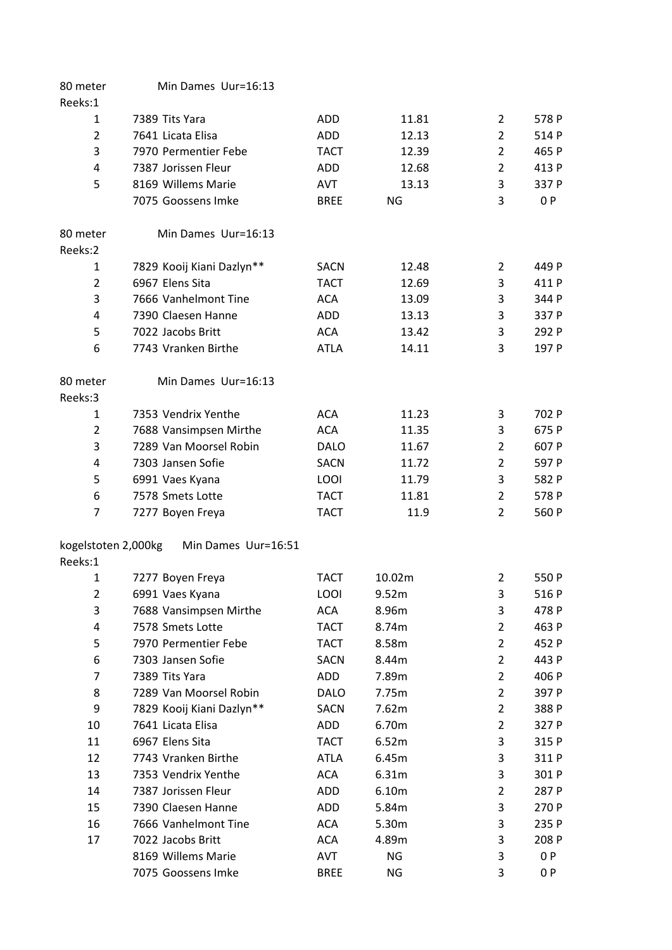| 578 P |
|-------|
| 514 P |
| 465 P |
| 413 P |
| 337 P |
| 0P    |
|       |
|       |
| 449 P |
| 411 P |
| 344 P |
| 337 P |
| 292 P |
| 197 P |
|       |
|       |
|       |
| 702 P |
| 675 P |
| 607 P |
| 597 P |
| 582 P |
| 578 P |
| 560 P |
|       |
|       |
| 550 P |
| 516 P |
| 478 P |
| 463 P |
| 452 P |
| 443 P |
| 406 P |
| 397 P |
| 388 P |
| 327 P |
| 315 P |
| 311 P |
| 301 P |
| 287 P |
| 270 P |
| 235 P |
| 208 P |
| 0P    |
|       |
|       |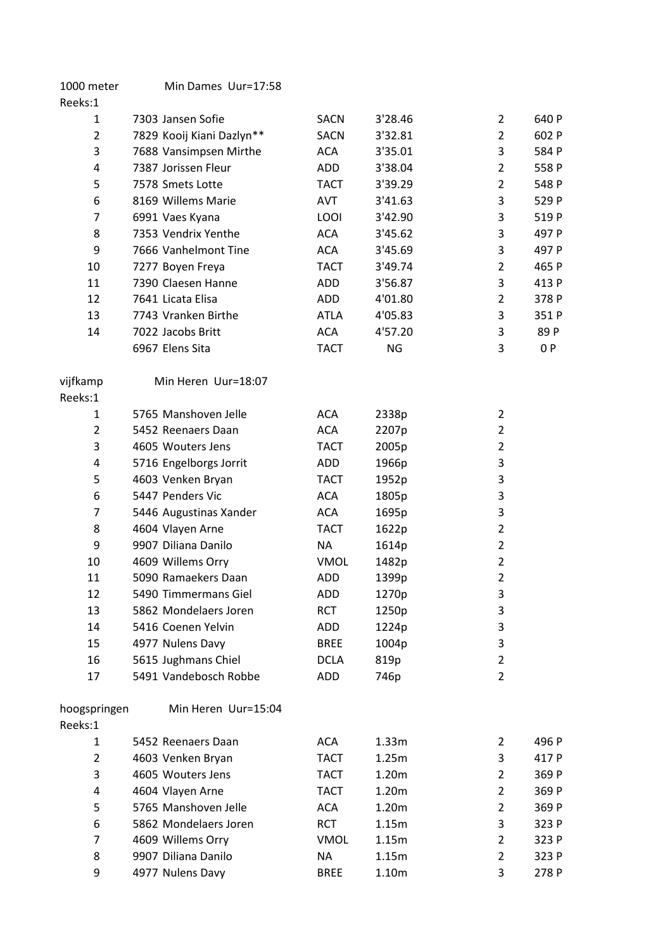| 1000 meter                     | Min Dames Uur=17:58       |             |           |                     |       |
|--------------------------------|---------------------------|-------------|-----------|---------------------|-------|
| Reeks:1                        |                           |             |           |                     |       |
| 1                              | 7303 Jansen Sofie         | <b>SACN</b> | 3'28.46   | $\overline{2}$      | 640 P |
| $\overline{2}$                 | 7829 Kooij Kiani Dazlyn** | <b>SACN</b> | 3'32.81   | $\overline{2}$      | 602 P |
| 3                              | 7688 Vansimpsen Mirthe    | <b>ACA</b>  | 3'35.01   | 3                   | 584 P |
| 4                              | 7387 Jorissen Fleur       | ADD         | 3'38.04   | $\overline{2}$      | 558 P |
| 5                              | 7578 Smets Lotte          | <b>TACT</b> | 3'39.29   | $\overline{2}$      | 548 P |
| 6                              | 8169 Willems Marie        | <b>AVT</b>  | 3'41.63   | 3                   | 529 P |
| 7                              | 6991 Vaes Kyana           | LOOI        | 3'42.90   | 3                   | 519 P |
| 8                              | 7353 Vendrix Yenthe       | <b>ACA</b>  | 3'45.62   | 3                   | 497 P |
| 9                              | 7666 Vanhelmont Tine      | <b>ACA</b>  | 3'45.69   | 3                   | 497 P |
| 10                             | 7277 Boyen Freya          | <b>TACT</b> | 3'49.74   | $\overline{2}$      | 465 P |
| 11                             | 7390 Claesen Hanne        | ADD         | 3'56.87   | 3                   | 413 P |
| 12                             | 7641 Licata Elisa         | ADD         | 4'01.80   | $\overline{2}$      | 378 P |
| 13                             | 7743 Vranken Birthe       | <b>ATLA</b> | 4'05.83   | 3                   | 351 P |
| 14                             | 7022 Jacobs Britt         | <b>ACA</b>  | 4'57.20   | 3                   | 89 P  |
|                                | 6967 Elens Sita           | <b>TACT</b> | <b>NG</b> | 3                   | 0 P   |
| vijfkamp                       | Min Heren Uur=18:07       |             |           |                     |       |
| Reeks:1                        |                           |             |           |                     |       |
| 1                              | 5765 Manshoven Jelle      | <b>ACA</b>  | 2338p     | $\overline{2}$      |       |
| $\overline{2}$                 | 5452 Reenaers Daan        | <b>ACA</b>  | 2207p     | 2                   |       |
| 3                              | 4605 Wouters Jens         | <b>TACT</b> | 2005p     | $\overline{2}$      |       |
| 4                              | 5716 Engelborgs Jorrit    | ADD         | 1966p     | 3                   |       |
| 5                              | 4603 Venken Bryan         | TACT        | 1952p     | 3                   |       |
| 6                              | 5447 Penders Vic          | <b>ACA</b>  | 1805p     | 3                   |       |
| 7                              | 5446 Augustinas Xander    | <b>ACA</b>  | 1695p     | 3                   |       |
| 8                              | 4604 Vlayen Arne          | TACT        | 1622p     | $\overline{2}$      |       |
| 9                              | 9907 Diliana Danilo       | NA          | 1614p     | 2                   |       |
| 10                             | 4609 Willems Orry         | VMOL        | 1482p     | $\overline{2}$      |       |
| 11                             | 5090 Ramaekers Daan       | <b>ADD</b>  | 1399p     | $\overline{2}$      |       |
| 12                             | 5490 Timmermans Giel      | ADD         | 1270p     | 3                   |       |
| 13                             | 5862 Mondelaers Joren     | <b>RCT</b>  | 1250p     | 3                   |       |
| 14                             | 5416 Coenen Yelvin        | ADD         | 1224p     | 3                   |       |
| 15                             | 4977 Nulens Davy          | <b>BREE</b> | 1004p     | 3                   |       |
| 16                             | 5615 Jughmans Chiel       | <b>DCLA</b> | 819p      | $\overline{2}$      |       |
| 17                             | 5491 Vandebosch Robbe     | ADD         | 746p      | $\overline{2}$      |       |
| hoogspringen                   | Min Heren Uur=15:04       |             |           |                     |       |
| Reeks:1                        |                           |             |           |                     |       |
| $\mathbf{1}$<br>$\overline{2}$ | 5452 Reenaers Daan        | ACA         | 1.33m     | $\overline{2}$      | 496 P |
|                                | 4603 Venken Bryan         | <b>TACT</b> | 1.25m     | 3                   | 417 P |
| 3                              | 4605 Wouters Jens         | <b>TACT</b> | 1.20m     | $\overline{2}$      | 369 P |
| 4                              | 4604 Vlayen Arne          | <b>TACT</b> | 1.20m     | $\overline{2}$      | 369 P |
| 5                              | 5765 Manshoven Jelle      | <b>ACA</b>  | 1.20m     | 2                   | 369 P |
| 6                              | 5862 Mondelaers Joren     | <b>RCT</b>  | 1.15m     | 3                   | 323 P |
| 7                              | 4609 Willems Orry         | <b>VMOL</b> | 1.15m     | $\overline{2}$      | 323 P |
| 8<br>9                         | 9907 Diliana Danilo       | <b>NA</b>   | 1.15m     | $\overline{2}$<br>3 | 323 P |
|                                | 4977 Nulens Davy          | <b>BREE</b> | 1.10m     |                     | 278 P |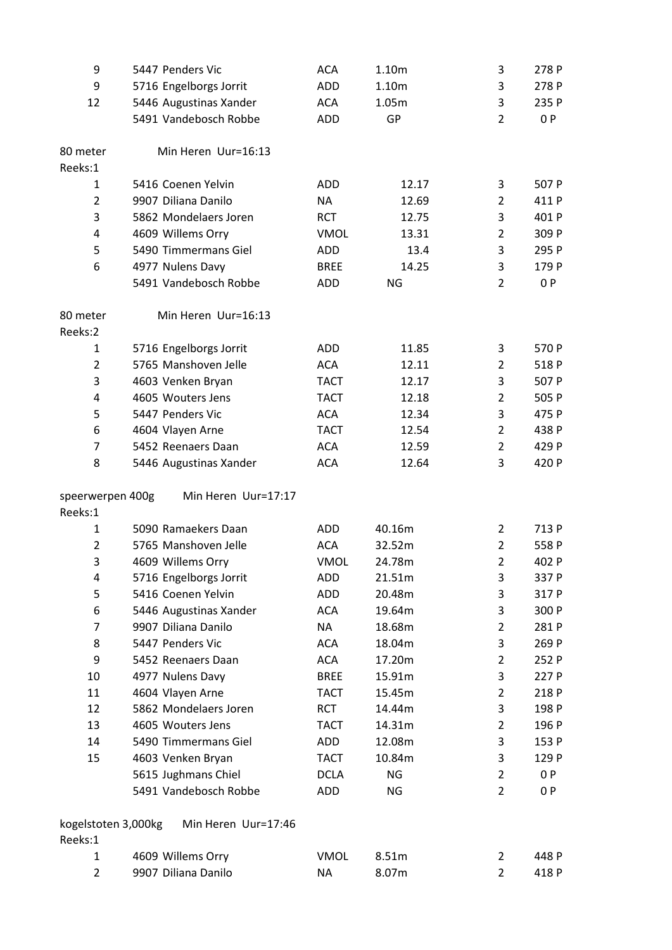| 9                   | 5447 Penders Vic       | <b>ACA</b>  | 1.10m     | 3              | 278 P |
|---------------------|------------------------|-------------|-----------|----------------|-------|
| 9                   | 5716 Engelborgs Jorrit | <b>ADD</b>  | 1.10m     | 3              | 278 P |
| 12                  | 5446 Augustinas Xander | <b>ACA</b>  | 1.05m     | 3              | 235 P |
|                     | 5491 Vandebosch Robbe  | <b>ADD</b>  | GP        | $\overline{2}$ | 0P    |
| 80 meter            | Min Heren Uur=16:13    |             |           |                |       |
| Reeks:1             |                        |             |           |                |       |
| 1                   | 5416 Coenen Yelvin     | ADD         | 12.17     | 3              | 507 P |
| $\overline{2}$      | 9907 Diliana Danilo    | <b>NA</b>   | 12.69     | $\overline{2}$ | 411 P |
| 3                   | 5862 Mondelaers Joren  | <b>RCT</b>  | 12.75     | 3              | 401 P |
| 4                   | 4609 Willems Orry      | <b>VMOL</b> | 13.31     | $\overline{2}$ | 309 P |
| 5                   | 5490 Timmermans Giel   | <b>ADD</b>  | 13.4      | 3              | 295 P |
| 6                   | 4977 Nulens Davy       | <b>BREE</b> | 14.25     | 3              | 179 P |
|                     | 5491 Vandebosch Robbe  | <b>ADD</b>  | <b>NG</b> | $\overline{2}$ | 0P    |
| 80 meter<br>Reeks:2 | Min Heren Uur=16:13    |             |           |                |       |
| $\mathbf{1}$        | 5716 Engelborgs Jorrit | <b>ADD</b>  | 11.85     | 3              | 570 P |
| $\overline{2}$      | 5765 Manshoven Jelle   | <b>ACA</b>  | 12.11     | $\overline{2}$ | 518 P |
| 3                   | 4603 Venken Bryan      | <b>TACT</b> | 12.17     | 3              | 507 P |
| 4                   | 4605 Wouters Jens      | <b>TACT</b> | 12.18     | $\overline{2}$ | 505 P |
| 5                   | 5447 Penders Vic       | <b>ACA</b>  | 12.34     | 3              | 475 P |
| 6                   | 4604 Vlayen Arne       | <b>TACT</b> | 12.54     | $\overline{2}$ | 438 P |
| $\overline{7}$      | 5452 Reenaers Daan     | <b>ACA</b>  | 12.59     | $\overline{2}$ | 429 P |
| 8                   | 5446 Augustinas Xander | <b>ACA</b>  | 12.64     | 3              | 420 P |
| speerwerpen 400g    | Min Heren Uur=17:17    |             |           |                |       |
| Reeks:1             |                        |             |           |                |       |
| $\mathbf{1}$        | 5090 Ramaekers Daan    | ADD         | 40.16m    | $\overline{2}$ | 713 P |
| $\overline{2}$      | 5765 Manshoven Jelle   | <b>ACA</b>  | 32.52m    | $\overline{2}$ | 558 P |
| 3                   | 4609 Willems Orry      | <b>VMOL</b> | 24.78m    | $\overline{2}$ | 402 P |
| 4                   | 5716 Engelborgs Jorrit | <b>ADD</b>  | 21.51m    | 3              | 337 P |
| 5                   | 5416 Coenen Yelvin     | <b>ADD</b>  | 20.48m    | 3              | 317 P |
| 6                   | 5446 Augustinas Xander | <b>ACA</b>  | 19.64m    | 3              | 300 P |
| 7                   | 9907 Diliana Danilo    | <b>NA</b>   | 18.68m    | $\overline{2}$ | 281 P |
| 8                   | 5447 Penders Vic       | <b>ACA</b>  | 18.04m    | 3              | 269 P |
| 9                   | 5452 Reenaers Daan     | <b>ACA</b>  | 17.20m    | $\overline{2}$ | 252 P |
| 10                  | 4977 Nulens Davy       | <b>BREE</b> | 15.91m    | 3              | 227 P |
| 11                  | 4604 Vlayen Arne       | <b>TACT</b> | 15.45m    | $\overline{2}$ | 218 P |
| 12                  | 5862 Mondelaers Joren  | <b>RCT</b>  | 14.44m    | 3              | 198 P |
| 13                  | 4605 Wouters Jens      | <b>TACT</b> | 14.31m    | $\overline{2}$ | 196 P |
| 14                  | 5490 Timmermans Giel   | ADD         | 12.08m    | 3              | 153 P |
| 15                  | 4603 Venken Bryan      | <b>TACT</b> | 10.84m    | 3              | 129 P |
|                     | 5615 Jughmans Chiel    | <b>DCLA</b> | NG        | $\overline{2}$ | 0P    |
|                     | 5491 Vandebosch Robbe  | ADD         | NG        | $\overline{2}$ | 0P    |
| kogelstoten 3,000kg | Min Heren Uur=17:46    |             |           |                |       |
| Reeks:1             |                        |             |           |                |       |
| 1                   | 4609 Willems Orry      | <b>VMOL</b> | 8.51m     | 2              | 448 P |
| $\overline{2}$      | 9907 Diliana Danilo    | <b>NA</b>   | 8.07m     | $\overline{2}$ | 418 P |